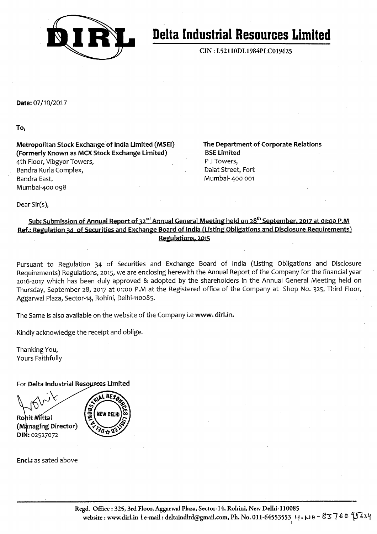

# **Delta Industrial Resources Limited**

CIN: L52110DL1984PLC019625

# Date: 07/10/2017

# To,

Metropolitan Stock Exchange of India Limited (MSEI) (Formerly Known as MCX Stock Exchange Limited) 4th Floor, Vibgyor Towers, Bandra Kurla Complex, Bandra East, Mumbai-400 098

The Department of Corporate Relations **BSE Limited** P J Towers, Dalat Street, Fort Mumbai- 400 001

Dear Sir(s),

# Sub: Submission of Annual Report of 32<sup>nd</sup> Annual General Meeting held on 28<sup>th</sup> September, 2017 at 01:00 P.M Ref.: Regulation 34 of Securities and Exchange Board of India (Listing Obligations and Disclosure Requirements) Regulations. 2015

Pursuant to Regulation 34 of Securities and Exchange Board of India (Listing Obligations and Disclosure Requirements) Regulations, 2015, we are enclosing herewith the Annual Report of the Company for the financial year 2016-2017 which has been duly approved & adopted by the shareholders in the Annual General Meeting held on Thursday, September 28, 2017 at 01:00 P.M at the Registered office of the Company at Shop No. 325, Third Floor, Aggarwal Plaza, Sector-14, Rohini, Delhi-110085.

The Same is also available on the website of the Company i.e www. dirl.in.

Kindly acknowledge the receipt and oblige.

Thanking You, Yours Faithfully

For Delta Industrial Resources Limited

Rohit Mittal (Managing Director) DIN: 02527072

RF s **NEW DELH** 

Encl.: as sated above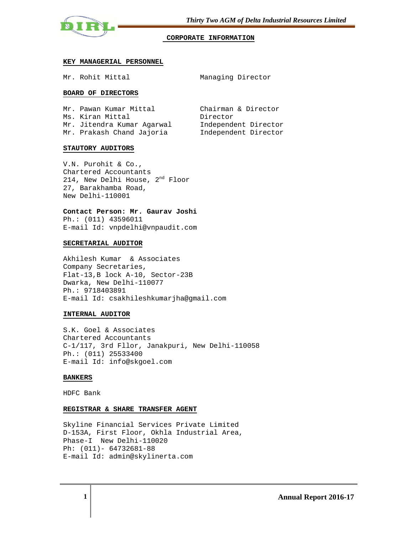

### **CORPORATE INFORMATION**

### **KEY MANAGERIAL PERSONNEL**

Mr. Rohit Mittal Managing Director

### **BOARD OF DIRECTORS**

| Mr. Pawan Kumar Mittal     | Chairman & Director  |
|----------------------------|----------------------|
| Ms. Kiran Mittal           | Director             |
| Mr. Jitendra Kumar Aqarwal | Independent Director |
| Mr. Prakash Chand Jajoria  | Independent Director |

### **STAUTORY AUDITORS**

V.N. Purohit & Co., Chartered Accountants 214, New Delhi House, 2<sup>nd</sup> Floor 27, Barakhamba Road, New Delhi-110001

**Contact Person: Mr. Gaurav Joshi**  Ph.: (011) 43596011 E-mail Id: vnpdelhi@vnpaudit.com

#### **SECRETARIAL AUDITOR**

Akhilesh Kumar & Associates Company Secretaries, Flat-13,B lock A-10, Sector-23B Dwarka, New Delhi-110077 Ph.: 9718403891 E-mail Id: csakhileshkumarjha@gmail.com

### **INTERNAL AUDITOR**

S.K. Goel & Associates Chartered Accountants C-1/117, 3rd Fllor, Janakpuri, New Delhi-110058 Ph.: (011) 25533400 E-mail Id: info@skgoel.com

### **BANKERS**

HDFC Bank

### **REGISTRAR & SHARE TRANSFER AGENT**

Skyline Financial Services Private Limited D-153A, First Floor, Okhla Industrial Area, Phase-I New Delhi-110020 Ph: (011)- 64732681-88 E-mail Id: admin@skylinerta.com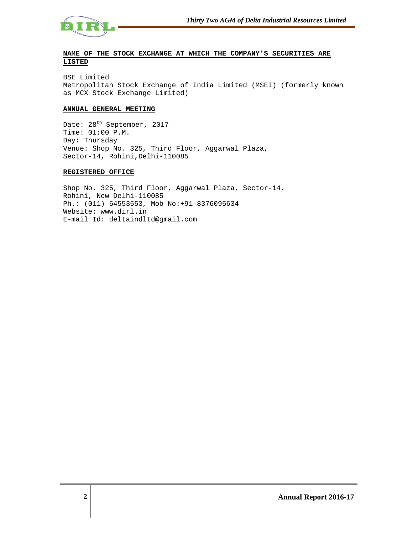

# **NAME OF THE STOCK EXCHANGE AT WHICH THE COMPANY'S SECURITIES ARE LISTED**

BSE Limited Metropolitan Stock Exchange of India Limited (MSEI) (formerly known as MCX Stock Exchange Limited)

### **ANNUAL GENERAL MEETING**

Date: 28<sup>th</sup> September, 2017 Time: 01:00 P.M. Day: Thursday Venue: Shop No. 325, Third Floor, Aggarwal Plaza, Sector-14, Rohini,Delhi-110085

### **REGISTERED OFFICE**

Shop No. 325, Third Floor, Aggarwal Plaza, Sector-14, Rohini, New Delhi-110085 Ph.: (011) 64553553, Mob No:+91-8376095634 Website: www.dirl.in E-mail Id: deltaindltd@gmail.com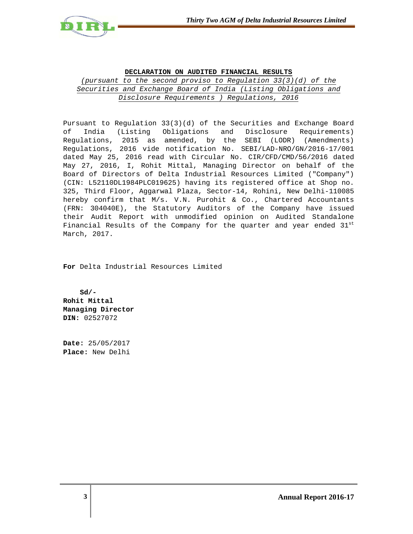

# **DECLARATION ON AUDITED FINANCIAL RESULTS** (pursuant to the second proviso to Regulation 33(3)(d) of the Securities and Exchange Board of India (Listing Obligations and Disclosure Requirements ) Regulations, 2016

Pursuant to Regulation 33(3)(d) of the Securities and Exchange Board of India (Listing Obligations and Disclosure Requirements) Regulations, 2015 as amended, by the SEBI (LODR) (Amendments) Regulations, 2016 vide notification No. SEBI/LAD-NRO/GN/2016-17/001 dated May 25, 2016 read with Circular No. CIR/CFD/CMD/56/2016 dated May 27, 2016, I, Rohit Mittal, Managing Director on behalf of the Board of Directors of Delta Industrial Resources Limited ("Company") (CIN: L52110DL1984PLC019625) having its registered office at Shop no. 325, Third Floor, Aggarwal Plaza, Sector-14, Rohini, New Delhi-110085 hereby confirm that M/s. V.N. Purohit & Co., Chartered Accountants (FRN: 304040E), the Statutory Auditors of the Company have issued their Audit Report with unmodified opinion on Audited Standalone Financial Results of the Company for the quarter and year ended  $31<sup>st</sup>$ March, 2017.

**For** Delta Industrial Resources Limited

 **Sd/- Rohit Mittal Managing Director DIN:** 02527072

**Date:** 25/05/2017 **Place:** New Delhi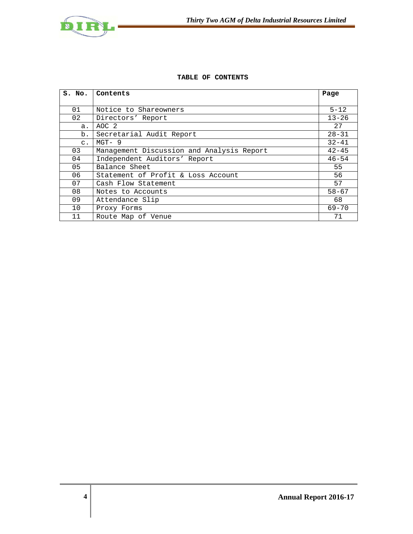



# **TABLE OF CONTENTS**

| S. No.         | Contents                                  | Page      |
|----------------|-------------------------------------------|-----------|
|                |                                           |           |
| 01             | Notice to Shareowners                     | $5 - 12$  |
| 02             | Directors' Report                         | $13 - 26$ |
| a.             | AOC <sub>2</sub>                          | 27        |
| b.             | Secretarial Audit Report                  | $28 - 31$ |
| $\mathsf{C}$ . | $MGT - 9$                                 | $32 - 41$ |
| 03             | Management Discussion and Analysis Report | $42 - 45$ |
| 04             | Independent Auditors' Report              | $46 - 54$ |
| 05             | Balance Sheet                             | 55        |
| 06             | Statement of Profit & Loss Account        | 56        |
| 07             | Cash Flow Statement                       | 57        |
| 08             | Notes to Accounts                         | $58 - 67$ |
| 09             | Attendance Slip                           | 68        |
| 10             | Proxy Forms                               | $69 - 70$ |
| 11             | Route Map of Venue                        | 71        |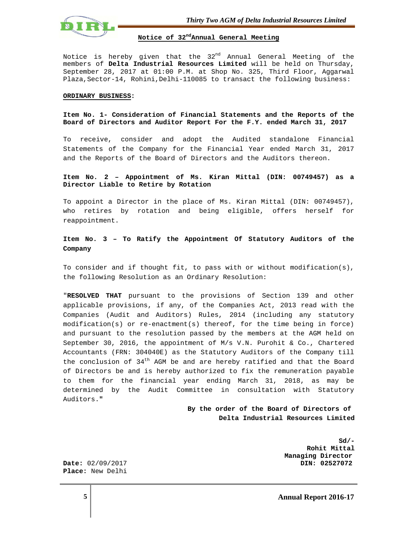

**Notice of 32ndAnnual General Meeting**

Notice is hereby given that the 32<sup>nd</sup> Annual General Meeting of the members of **Delta Industrial Resources Limited** will be held on Thursday, September 28, 2017 at 01:00 P.M. at Shop No. 325, Third Floor, Aggarwal Plaza, Sector-14, Rohini, Delhi-110085 to transact the following business:

#### **ORDINARY BUSINESS:**

### **Item No. 1- Consideration of Financial Statements and the Reports of the Board of Directors and Auditor Report For the F.Y. ended March 31, 2017**

To receive, consider and adopt the Audited standalone Financial Statements of the Company for the Financial Year ended March 31, 2017 and the Reports of the Board of Directors and the Auditors thereon.

### **Item No. 2 – Appointment of Ms. Kiran Mittal (DIN: 00749457) as a Director Liable to Retire by Rotation**

To appoint a Director in the place of Ms. Kiran Mittal (DIN: 00749457), who retires by rotation and being eligible, offers herself for reappointment.

# **Item No. 3 – To Ratify the Appointment Of Statutory Auditors of the Company**

To consider and if thought fit, to pass with or without modification(s), the following Resolution as an Ordinary Resolution:

"**RESOLVED THAT** pursuant to the provisions of Section 139 and other applicable provisions, if any, of the Companies Act, 2013 read with the Companies (Audit and Auditors) Rules, 2014 (including any statutory modification(s) or re-enactment(s) thereof, for the time being in force) and pursuant to the resolution passed by the members at the AGM held on September 30, 2016, the appointment of M/s V.N. Purohit & Co., Chartered Accountants (FRN: 304040E) as the Statutory Auditors of the Company till the conclusion of  $34<sup>th</sup>$  AGM be and are hereby ratified and that the Board of Directors be and is hereby authorized to fix the remuneration payable to them for the financial year ending March 31, 2018, as may be determined by the Audit Committee in consultation with Statutory Auditors.**"** 

> **By the order of the Board of Directors of Delta Industrial Resources Limited**

**Sd/- Rohit Mittal Managing Director Date:** 02/09/2017 **Date:** 02/09/2017

**Place:** New Delhi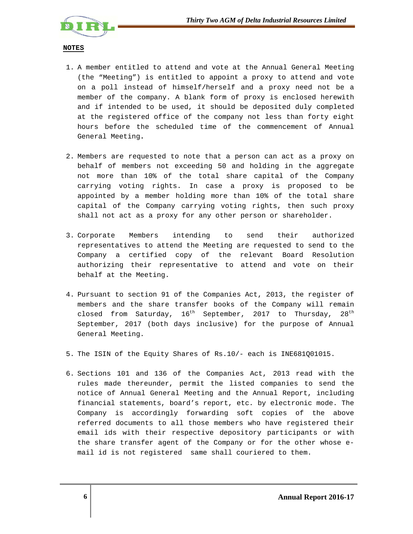

### **NOTES**

- 1. A member entitled to attend and vote at the Annual General Meeting (the "Meeting") is entitled to appoint a proxy to attend and vote on a poll instead of himself/herself and a proxy need not be a member of the company. A blank form of proxy is enclosed herewith and if intended to be used, it should be deposited duly completed at the registered office of the company not less than forty eight hours before the scheduled time of the commencement of Annual General Meeting**.**
- 2. Members are requested to note that a person can act as a proxy on behalf of members not exceeding 50 and holding in the aggregate not more than 10% of the total share capital of the Company carrying voting rights. In case a proxy is proposed to be appointed by a member holding more than 10% of the total share capital of the Company carrying voting rights, then such proxy shall not act as a proxy for any other person or shareholder.
- 3. Corporate Members intending to send their authorized representatives to attend the Meeting are requested to send to the Company a certified copy of the relevant Board Resolution authorizing their representative to attend and vote on their behalf at the Meeting.
- 4. Pursuant to section 91 of the Companies Act, 2013, the register of members and the share transfer books of the Company will remain closed from Saturday,  $16^{th}$  September, 2017 to Thursday,  $28^{th}$ September, 2017 (both days inclusive) for the purpose of Annual General Meeting.
- 5. The ISIN of the Equity Shares of Rs.10/- each is INE681Q01015.
- 6. Sections 101 and 136 of the Companies Act, 2013 read with the rules made thereunder, permit the listed companies to send the notice of Annual General Meeting and the Annual Report, including financial statements, board's report, etc. by electronic mode. The Company is accordingly forwarding soft copies of the above referred documents to all those members who have registered their email ids with their respective depository participants or with the share transfer agent of the Company or for the other whose email id is not registered same shall couriered to them.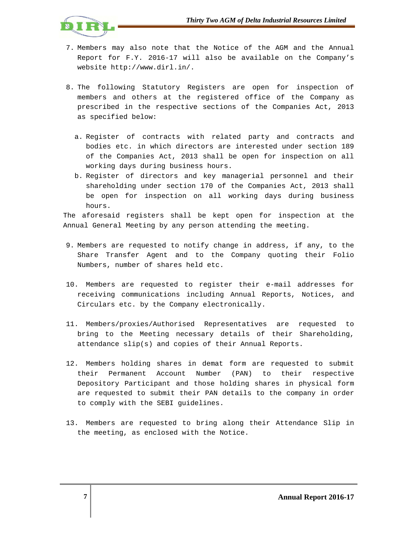

- 7. Members may also note that the Notice of the AGM and the Annual Report for F.Y. 2016-17 will also be available on the Company's website http://www.dirl.in/.
- 8. The following Statutory Registers are open for inspection of members and others at the registered office of the Company as prescribed in the respective sections of the Companies Act, 2013 as specified below:
	- a. Register of contracts with related party and contracts and bodies etc. in which directors are interested under section 189 of the Companies Act, 2013 shall be open for inspection on all working days during business hours.
	- b. Register of directors and key managerial personnel and their shareholding under section 170 of the Companies Act, 2013 shall be open for inspection on all working days during business hours.

The aforesaid registers shall be kept open for inspection at the Annual General Meeting by any person attending the meeting.

- 9. Members are requested to notify change in address, if any, to the Share Transfer Agent and to the Company quoting their Folio Numbers, number of shares held etc.
- 10. Members are requested to register their e-mail addresses for receiving communications including Annual Reports, Notices, and Circulars etc. by the Company electronically.
- 11. Members/proxies/Authorised Representatives are requested to bring to the Meeting necessary details of their Shareholding, attendance slip(s) and copies of their Annual Reports.
- 12. Members holding shares in demat form are requested to submit their Permanent Account Number (PAN) to their respective Depository Participant and those holding shares in physical form are requested to submit their PAN details to the company in order to comply with the SEBI guidelines.
- 13. Members are requested to bring along their Attendance Slip in the meeting, as enclosed with the Notice.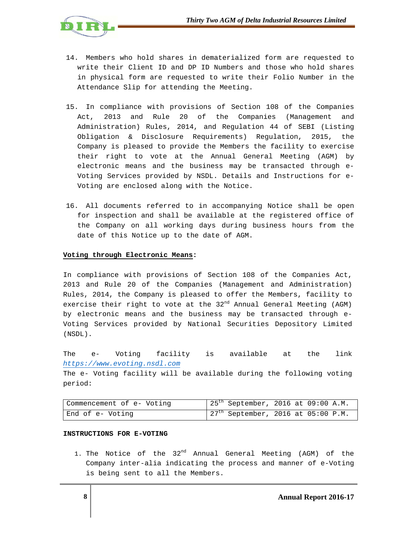

- 14. Members who hold shares in dematerialized form are requested to write their Client ID and DP ID Numbers and those who hold shares in physical form are requested to write their Folio Number in the Attendance Slip for attending the Meeting.
- 15. In compliance with provisions of Section 108 of the Companies Act, 2013 and Rule 20 of the Companies (Management and Administration) Rules, 2014, and Regulation 44 of SEBI (Listing Obligation & Disclosure Requirements) Regulation, 2015, the Company is pleased to provide the Members the facility to exercise their right to vote at the Annual General Meeting (AGM) by electronic means and the business may be transacted through e-Voting Services provided by NSDL. Details and Instructions for e-Voting are enclosed along with the Notice.
- 16. All documents referred to in accompanying Notice shall be open for inspection and shall be available at the registered office of the Company on all working days during business hours from the date of this Notice up to the date of AGM.

# **Voting through Electronic Means:**

In compliance with provisions of Section 108 of the Companies Act, 2013 and Rule 20 of the Companies (Management and Administration) Rules, 2014, the Company is pleased to offer the Members, facility to exercise their right to vote at the  $32<sup>nd</sup>$  Annual General Meeting (AGM) by electronic means and the business may be transacted through e-Voting Services provided by National Securities Depository Limited (NSDL).

The e- Voting facility is available at the link https://www.evoting.nsdl.com

The e- Voting facility will be available during the following voting period:

| Commencement of e- Voting | $25th$ September, 2016 at 09:00 A.M. |
|---------------------------|--------------------------------------|
| End of e- Voting          | $27th$ September, 2016 at 05:00 P.M. |

### **INSTRUCTIONS FOR E-VOTING**

1. The Notice of the 32<sup>nd</sup> Annual General Meeting (AGM) of the Company inter-alia indicating the process and manner of e-Voting is being sent to all the Members.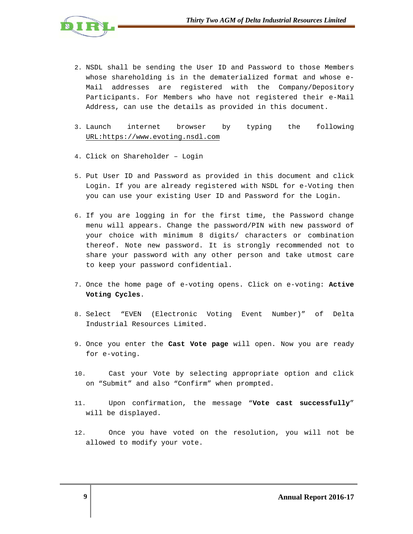

- 2. NSDL shall be sending the User ID and Password to those Members whose shareholding is in the dematerialized format and whose e-Mail addresses are registered with the Company/Depository Participants. For Members who have not registered their e-Mail Address, can use the details as provided in this document.
- 3. Launch internet browser by typing the following URL:https://www.evoting.nsdl.com
- 4. Click on Shareholder Login
- 5. Put User ID and Password as provided in this document and click Login. If you are already registered with NSDL for e-Voting then you can use your existing User ID and Password for the Login.
- 6. If you are logging in for the first time, the Password change menu will appears. Change the password/PIN with new password of your choice with minimum 8 digits/ characters or combination thereof. Note new password. It is strongly recommended not to share your password with any other person and take utmost care to keep your password confidential.
- 7. Once the home page of e-voting opens. Click on e-voting: **Active Voting Cycles**.
- 8. Select "EVEN (Electronic Voting Event Number)" of Delta Industrial Resources Limited.
- 9. Once you enter the **Cast Vote page** will open. Now you are ready for e-voting.
- 10. Cast your Vote by selecting appropriate option and click on "Submit" and also "Confirm" when prompted.
- 11. Upon confirmation, the message "**Vote cast successfully**" will be displayed.
- 12. Once you have voted on the resolution, you will not be allowed to modify your vote.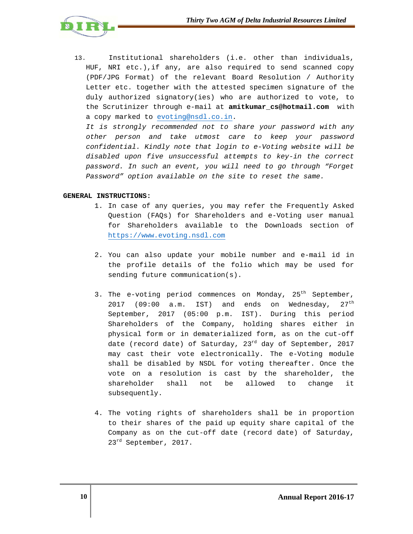

13. Institutional shareholders (i.e. other than individuals, HUF, NRI etc.),if any, are also required to send scanned copy (PDF/JPG Format) of the relevant Board Resolution / Authority Letter etc. together with the attested specimen signature of the duly authorized signatory(ies) who are authorized to vote, to the Scrutinizer through e-mail at **amitkumar\_cs@hotmail.com** with a copy marked to evoting@nsdl.co.in.

It is strongly recommended not to share your password with any other person and take utmost care to keep your password confidential. Kindly note that login to e-Voting website will be disabled upon five unsuccessful attempts to key-in the correct password. In such an event, you will need to go through "Forget Password" option available on the site to reset the same.

# **GENERAL INSTRUCTIONS:**

- 1. In case of any queries, you may refer the Frequently Asked Question (FAQs) for Shareholders and e-Voting user manual for Shareholders available to the Downloads section of https://www.evoting.nsdl.com
- 2. You can also update your mobile number and e-mail id in the profile details of the folio which may be used for sending future communication(s).
- 3. The e-voting period commences on Monday,  $25<sup>th</sup>$  September, 2017 (09:00 a.m. IST) and ends on Wednesday,  $27<sup>th</sup>$ September, 2017 (05:00 p.m. IST). During this period Shareholders of the Company, holding shares either in physical form or in dematerialized form, as on the cut-off date (record date) of Saturday,  $23<sup>rd</sup>$  day of September, 2017 may cast their vote electronically. The e-Voting module shall be disabled by NSDL for voting thereafter. Once the vote on a resolution is cast by the shareholder, the shareholder shall not be allowed to change it subsequently.
- 4. The voting rights of shareholders shall be in proportion to their shares of the paid up equity share capital of the Company as on the cut-off date (record date) of Saturday, 23<sup>rd</sup> September, 2017.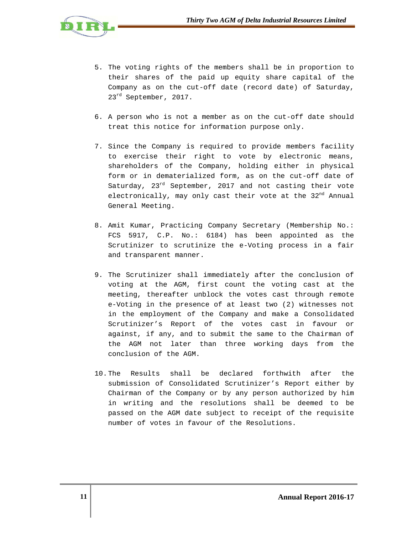

- 5. The voting rights of the members shall be in proportion to their shares of the paid up equity share capital of the Company as on the cut-off date (record date) of Saturday, 23<sup>rd</sup> September, 2017.
- 6. A person who is not a member as on the cut-off date should treat this notice for information purpose only.
- 7. Since the Company is required to provide members facility to exercise their right to vote by electronic means, shareholders of the Company, holding either in physical form or in dematerialized form, as on the cut-off date of Saturday, 23<sup>rd</sup> September, 2017 and not casting their vote electronically, may only cast their vote at the 32<sup>nd</sup> Annual General Meeting.
- 8. Amit Kumar, Practicing Company Secretary (Membership No.: FCS 5917, C.P. No.: 6184) has been appointed as the Scrutinizer to scrutinize the e-Voting process in a fair and transparent manner.
- 9. The Scrutinizer shall immediately after the conclusion of voting at the AGM, first count the voting cast at the meeting, thereafter unblock the votes cast through remote e-Voting in the presence of at least two (2) witnesses not in the employment of the Company and make a Consolidated Scrutinizer's Report of the votes cast in favour or against, if any, and to submit the same to the Chairman of the AGM not later than three working days from the conclusion of the AGM.
- 10.The Results shall be declared forthwith after the submission of Consolidated Scrutinizer's Report either by Chairman of the Company or by any person authorized by him in writing and the resolutions shall be deemed to be passed on the AGM date subject to receipt of the requisite number of votes in favour of the Resolutions.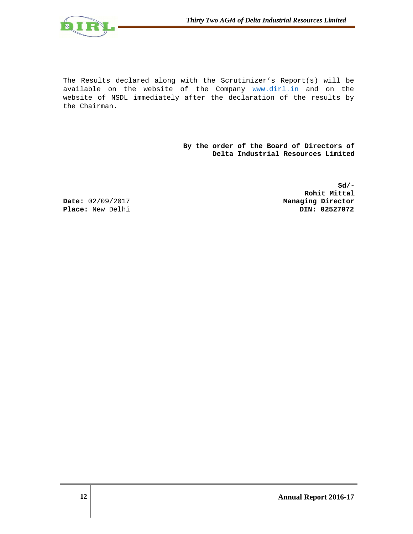

The Results declared along with the Scrutinizer's Report(s) will be available on the website of the Company www.dirl.in and on the website of NSDL immediately after the declaration of the results by the Chairman.

> **By the order of the Board of Directors of Delta Industrial Resources Limited**

**Sd/- Rohit Mittal Date:** 02/09/2017 **Managing Director Place:** New Delhi **Din: 02527072**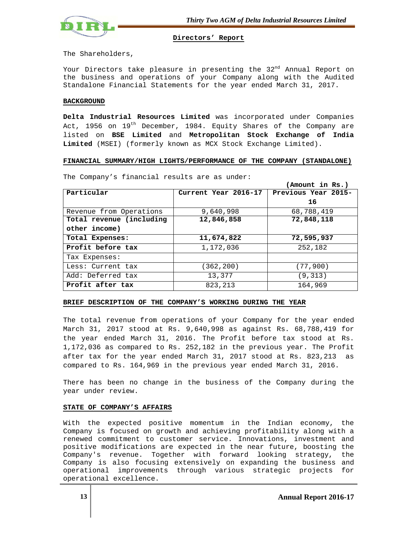

### **Directors' Report**

The Shareholders,

Your Directors take pleasure in presenting the  $32<sup>nd</sup>$  Annual Report on the business and operations of your Company along with the Audited Standalone Financial Statements for the year ended March 31, 2017.

### **BACKGROUND**

**Delta Industrial Resources Limited** was incorporated under Companies Act, 1956 on  $19<sup>th</sup>$  December, 1984. Equity Shares of the Company are listed on **BSE Limited** and **Metropolitan Stock Exchange of India Limited** (MSEI) (formerly known as MCX Stock Exchange Limited).

# **FINANCIAL SUMMARY/HIGH LIGHTS/PERFORMANCE OF THE COMPANY (STANDALONE)**

|                          |                      | (Amount in Rs.)     |
|--------------------------|----------------------|---------------------|
| Particular               | Current Year 2016-17 | Previous Year 2015- |
|                          |                      | 16                  |
| Revenue from Operations  | 9,640,998            | 68,788,419          |
| Total revenue (including | 12,846,858           | 72,848,118          |
| other income)            |                      |                     |
| Total Expenses:          | 11,674,822           | 72,595,937          |
| Profit before tax        | 1,172,036            | 252,182             |
| Tax Expenses:            |                      |                     |
| Less: Current tax        | (362, 200)           | (77, 900)           |
| Add: Deferred tax        | 13,377               | (9,313)             |
| Profit after tax         | 823, 213             | 164,969             |

The Company's financial results are as under:

# **BRIEF DESCRIPTION OF THE COMPANY'S WORKING DURING THE YEAR**

The total revenue from operations of your Company for the year ended March 31, 2017 stood at Rs. 9,640,998 as against Rs. 68,788,419 for the year ended March 31, 2016. The Profit before tax stood at Rs. 1,172,036 as compared to Rs. 252,182 in the previous year. The Profit after tax for the year ended March 31, 2017 stood at Rs. 823,213 as compared to Rs. 164,969 in the previous year ended March 31, 2016.

There has been no change in the business of the Company during the year under review.

# **STATE OF COMPANY'S AFFAIRS**

With the expected positive momentum in the Indian economy, the Company is focused on growth and achieving profitability along with a renewed commitment to customer service. Innovations, investment and positive modifications are expected in the near future, boosting the Company's revenue. Together with forward looking strategy, the Company is also focusing extensively on expanding the business and operational improvements through various strategic projects for operational excellence.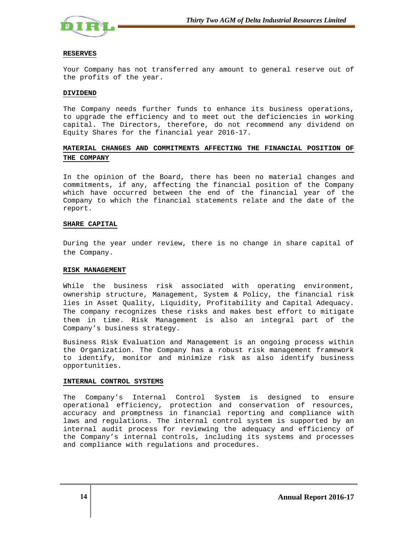

### **RESERVES**

Your Company has not transferred any amount to general reserve out of the profits of the year.

### **DIVIDEND**

The Company needs further funds to enhance its business operations, to upgrade the efficiency and to meet out the deficiencies in working capital. The Directors, therefore, do not recommend any dividend on Equity Shares for the financial year 2016-17.

# **MATERIAL CHANGES AND COMMITMENTS AFFECTING THE FINANCIAL POSITION OF THE COMPANY**

In the opinion of the Board, there has been no material changes and commitments, if any, affecting the financial position of the Company which have occurred between the end of the financial year of the Company to which the financial statements relate and the date of the report.

### **SHARE CAPITAL**

During the year under review, there is no change in share capital of the Company.

### **RISK MANAGEMENT**

While the business risk associated with operating environment, ownership structure, Management, System & Policy, the financial risk lies in Asset Quality, Liquidity, Profitability and Capital Adequacy. The company recognizes these risks and makes best effort to mitigate them in time. Risk Management is also an integral part of the Company's business strategy.

Business Risk Evaluation and Management is an ongoing process within the Organization. The Company has a robust risk management framework to identify, monitor and minimize risk as also identify business opportunities.

### **INTERNAL CONTROL SYSTEMS**

The Company's Internal Control System is designed to ensure operational efficiency, protection and conservation of resources, accuracy and promptness in financial reporting and compliance with laws and regulations. The internal control system is supported by an internal audit process for reviewing the adequacy and efficiency of the Company's internal controls, including its systems and processes and compliance with regulations and procedures.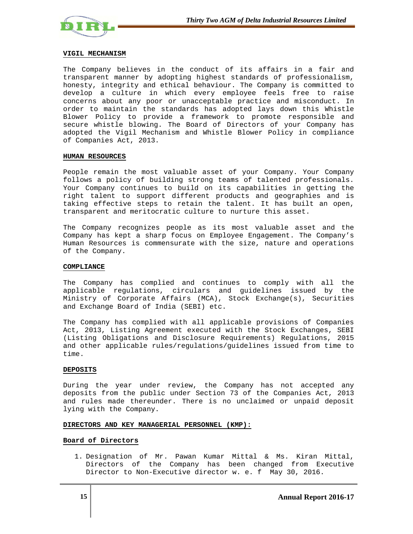

### **VIGIL MECHANISM**

The Company believes in the conduct of its affairs in a fair and transparent manner by adopting highest standards of professionalism, honesty, integrity and ethical behaviour. The Company is committed to develop a culture in which every employee feels free to raise concerns about any poor or unacceptable practice and misconduct. In order to maintain the standards has adopted lays down this Whistle Blower Policy to provide a framework to promote responsible and secure whistle blowing. The Board of Directors of your Company has adopted the Vigil Mechanism and Whistle Blower Policy in compliance of Companies Act, 2013.

### **HUMAN RESOURCES**

People remain the most valuable asset of your Company. Your Company follows a policy of building strong teams of talented professionals. Your Company continues to build on its capabilities in getting the right talent to support different products and geographies and is taking effective steps to retain the talent. It has built an open, transparent and meritocratic culture to nurture this asset.

The Company recognizes people as its most valuable asset and the Company has kept a sharp focus on Employee Engagement. The Company's Human Resources is commensurate with the size, nature and operations of the Company.

### **COMPLIANCE**

The Company has complied and continues to comply with all the applicable regulations, circulars and guidelines issued by the Ministry of Corporate Affairs (MCA), Stock Exchange(s), Securities and Exchange Board of India (SEBI) etc.

The Company has complied with all applicable provisions of Companies Act, 2013, Listing Agreement executed with the Stock Exchanges, SEBI (Listing Obligations and Disclosure Requirements) Regulations, 2015 and other applicable rules/regulations/guidelines issued from time to time.

### **DEPOSITS**

During the year under review, the Company has not accepted any deposits from the public under Section 73 of the Companies Act, 2013 and rules made thereunder. There is no unclaimed or unpaid deposit lying with the Company.

### **DIRECTORS AND KEY MANAGERIAL PERSONNEL (KMP):**

### **Board of Directors**

1. Designation of Mr. Pawan Kumar Mittal & Ms. Kiran Mittal, Directors of the Company has been changed from Executive Director to Non-Executive director w. e. f May 30, 2016.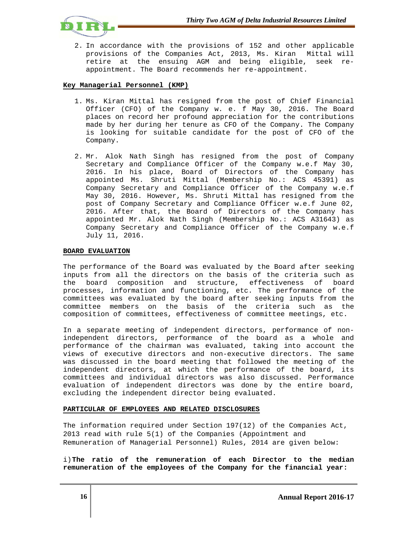

2. In accordance with the provisions of 152 and other applicable provisions of the Companies Act, 2013, Ms. Kiran Mittal will retire at the ensuing AGM and being eligible, seek reappointment. The Board recommends her re-appointment.

# **Key Managerial Personnel (KMP)**

- 1. Ms. Kiran Mittal has resigned from the post of Chief Financial Officer (CFO) of the Company w. e. f May 30, 2016. The Board places on record her profound appreciation for the contributions made by her during her tenure as CFO of the Company. The Company is looking for suitable candidate for the post of CFO of the Company.
- 2. Mr. Alok Nath Singh has resigned from the post of Company Secretary and Compliance Officer of the Company w.e.f May 30, 2016. In his place, Board of Directors of the Company has appointed Ms. Shruti Mittal (Membership No.: ACS 45391) as Company Secretary and Compliance Officer of the Company w.e.f May 30, 2016. However, Ms. Shruti Mittal has resigned from the post of Company Secretary and Compliance Officer w.e.f June 02, 2016. After that, the Board of Directors of the Company has appointed Mr. Alok Nath Singh (Membership No.: ACS A31643) as Company Secretary and Compliance Officer of the Company w.e.f July 11, 2016.

# **BOARD EVALUATION**

The performance of the Board was evaluated by the Board after seeking inputs from all the directors on the basis of the criteria such as the board composition and structure, effectiveness of board processes, information and functioning, etc. The performance of the committees was evaluated by the board after seeking inputs from the committee members on the basis of the criteria such as the composition of committees, effectiveness of committee meetings, etc.

In a separate meeting of independent directors, performance of nonindependent directors, performance of the board as a whole and performance of the chairman was evaluated, taking into account the views of executive directors and non-executive directors. The same was discussed in the board meeting that followed the meeting of the independent directors, at which the performance of the board, its committees and individual directors was also discussed. Performance evaluation of independent directors was done by the entire board, excluding the independent director being evaluated.

### **PARTICULAR OF EMPLOYEES AND RELATED DISCLOSURES**

The information required under Section 197(12) of the Companies Act, 2013 read with rule 5(1) of the Companies (Appointment and Remuneration of Managerial Personnel) Rules, 2014 are given below:

i)**The ratio of the remuneration of each Director to the median remuneration of the employees of the Company for the financial year:**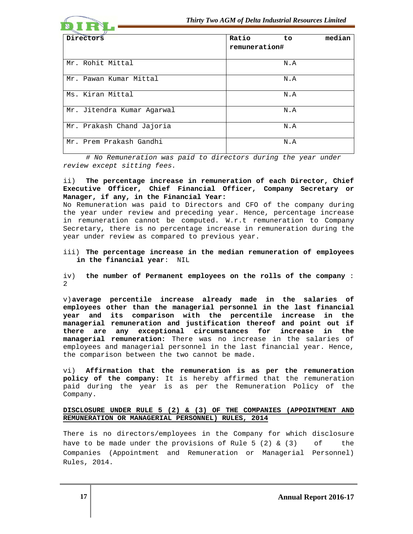

 # No Remuneration was paid to directors during the year under review except sitting fees.

ii) **The percentage increase in remuneration of each Director, Chief Executive Officer, Chief Financial Officer, Company Secretary or Manager, if any, in the Financial Year:** 

No Remuneration was paid to Directors and CFO of the company during the year under review and preceding year. Hence, percentage increase in remuneration cannot be computed. W.r.t remuneration to Company Secretary, there is no percentage increase in remuneration during the year under review as compared to previous year.

iii) **The percentage increase in the median remuneration of employees in the financial year**: NIL

iv) **the number of Permanent employees on the rolls of the company** : 2

v)**average percentile increase already made in the salaries of employees other than the managerial personnel in the last financial year and its comparison with the percentile increase in the managerial remuneration and justification thereof and point out if there are any exceptional circumstances for increase in the managerial remuneration:** There was no increase in the salaries of employees and managerial personnel in the last financial year. Hence, the comparison between the two cannot be made.

vi) **Affirmation that the remuneration is as per the remuneration policy of the company:** It is hereby affirmed that the remuneration paid during the year is as per the Remuneration Policy of the Company.

# **DISCLOSURE UNDER RULE 5 (2) & (3) OF THE COMPANIES (APPOINTMENT AND REMUNERATION OR MANAGERIAL PERSONNEL) RULES, 2014**

There is no directors/employees in the Company for which disclosure have to be made under the provisions of Rule 5 (2)  $\&$  (3) of the Companies (Appointment and Remuneration or Managerial Personnel) Rules, 2014.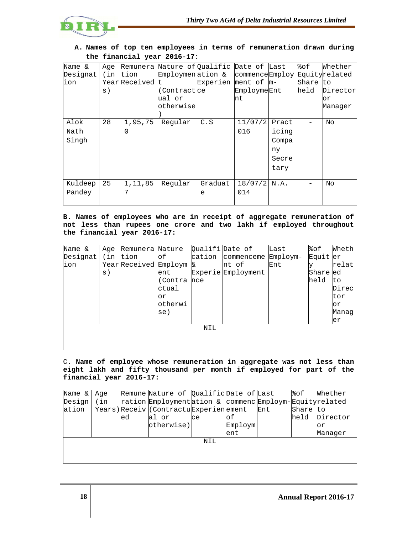

| Name &   | Aqe |                 | Remunera Nature of Qualific Date of Last |                     |                              |       | %ဝ£      | Whether  |
|----------|-----|-----------------|------------------------------------------|---------------------|------------------------------|-------|----------|----------|
| Designat | (in | tion            | Employmenation &                         |                     | commenceEmploy Equityrelated |       |          |          |
| ion      |     | Year Received t |                                          | Experien ment of m- |                              |       | Share to |          |
|          | s)  |                 | (Contract ce                             |                     | EmploymeEnt                  |       | held     | Director |
|          |     |                 | ual or                                   |                     | nt                           |       |          | or       |
|          |     |                 | otherwise                                |                     |                              |       |          | Manaqer  |
|          |     |                 |                                          |                     |                              |       |          |          |
| Alok     | 28  | 1,95,75         | Regular                                  | C.S                 | 11/07/2                      | Pract |          | No       |
| Nath     |     | $\Omega$        |                                          |                     | 016                          | icing |          |          |
| Singh    |     |                 |                                          |                     |                              | Compa |          |          |
|          |     |                 |                                          |                     |                              | ny    |          |          |
|          |     |                 |                                          |                     |                              | Secre |          |          |
|          |     |                 |                                          |                     |                              | tary  |          |          |
|          |     |                 |                                          |                     |                              |       |          |          |
| Kuldeep  | 25  | 1,11,85         | Regular                                  | Graduat             | $18/07/2$ N.A.               |       |          | No       |
| Pandey   |     | 7               |                                          | e                   | 014                          |       |          |          |
|          |     |                 |                                          |                     |                              |       |          |          |

# **A. Names of top ten employees in terms of remuneration drawn during the financial year 2016-17:**

**B. Names of employees who are in receipt of aggregate remuneration of not less than rupees one crore and two lakh if employed throughout the financial year 2016-17:** 

| Name &   |                | Age Remunera Nature   |         |        | Qualifi Date of    | Last     | %of      | Wheth |
|----------|----------------|-----------------------|---------|--------|--------------------|----------|----------|-------|
| Designat |                | (in tion              | оf      | cation | commenceme         | Employm- | Equit er |       |
| ion      |                | Year Received Employm |         | &      | nt of              | Ent      |          | relat |
|          | $\mathbf{s}$ ) |                       | ent     |        | Experie Employment |          | Share    | led   |
|          |                |                       | (Contra | nce    |                    |          | held     | to    |
|          |                |                       | ctual   |        |                    |          |          | Direc |
|          |                |                       | оr      |        |                    |          |          | tor   |
|          |                |                       | otherwi |        |                    |          |          | or    |
|          |                |                       | se)     |        |                    |          |          | Manaq |
|          |                |                       |         |        |                    |          |          | er    |
|          |                |                       |         | NIL    |                    |          |          |       |
|          |                |                       |         |        |                    |          |          |       |
|          |                |                       |         |        |                    |          |          |       |

C. **Name of employee whose remuneration in aggregate was not less than eight lakh and fifty thousand per month if employed for part of the financial year 2016-17:** 

| Name & | Age  |     | Remune Nature of Qualific Date of Last                 |               |         |     | 8of      | Whether  |
|--------|------|-----|--------------------------------------------------------|---------------|---------|-----|----------|----------|
| Design | (in) |     | ration Employmentation & commenc Employm-Equityrelated |               |         |     |          |          |
| ation  |      |     | Years) Receiv (ContractuExperienement                  |               |         | Ent | Share to |          |
|        |      | led | al or                                                  | <sub>ce</sub> | оf      |     | held     | Director |
|        |      |     | otherwise)                                             |               | Employm |     |          | or       |
|        |      |     |                                                        |               | ent     |     |          | Manaqer  |
|        |      |     |                                                        | NIL           |         |     |          |          |
|        |      |     |                                                        |               |         |     |          |          |
|        |      |     |                                                        |               |         |     |          |          |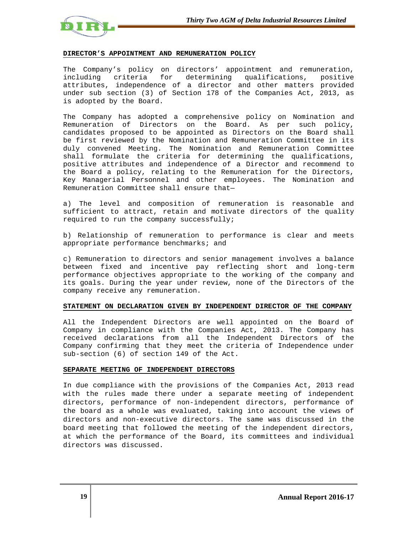

### **DIRECTOR'S APPOINTMENT AND REMUNERATION POLICY**

The Company's policy on directors' appointment and remuneration, including criteria for determining qualifications, positive attributes, independence of a director and other matters provided under sub section (3) of Section 178 of the Companies Act, 2013, as is adopted by the Board.

The Company has adopted a comprehensive policy on Nomination and Remuneration of Directors on the Board. As per such policy, candidates proposed to be appointed as Directors on the Board shall be first reviewed by the Nomination and Remuneration Committee in its duly convened Meeting. The Nomination and Remuneration Committee shall formulate the criteria for determining the qualifications, positive attributes and independence of a Director and recommend to the Board a policy, relating to the Remuneration for the Directors, Key Managerial Personnel and other employees. The Nomination and Remuneration Committee shall ensure that—

a) The level and composition of remuneration is reasonable and sufficient to attract, retain and motivate directors of the quality required to run the company successfully;

b) Relationship of remuneration to performance is clear and meets appropriate performance benchmarks; and

c) Remuneration to directors and senior management involves a balance between fixed and incentive pay reflecting short and long-term performance objectives appropriate to the working of the company and its goals. During the year under review, none of the Directors of the company receive any remuneration.

### **STATEMENT ON DECLARATION GIVEN BY INDEPENDENT DIRECTOR OF THE COMPANY**

All the Independent Directors are well appointed on the Board of Company in compliance with the Companies Act, 2013. The Company has received declarations from all the Independent Directors of the Company confirming that they meet the criteria of Independence under sub-section (6) of section 149 of the Act.

### **SEPARATE MEETING OF INDEPENDENT DIRECTORS**

In due compliance with the provisions of the Companies Act, 2013 read with the rules made there under a separate meeting of independent directors, performance of non-independent directors, performance of the board as a whole was evaluated, taking into account the views of directors and non-executive directors. The same was discussed in the board meeting that followed the meeting of the independent directors, at which the performance of the Board, its committees and individual directors was discussed.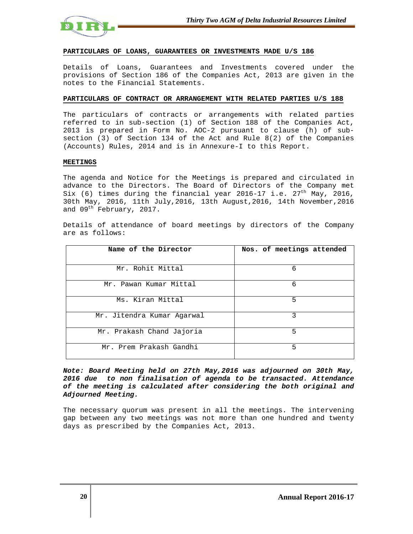

### **PARTICULARS OF LOANS, GUARANTEES OR INVESTMENTS MADE U/S 186**

Details of Loans, Guarantees and Investments covered under the provisions of Section 186 of the Companies Act, 2013 are given in the notes to the Financial Statements.

### **PARTICULARS OF CONTRACT OR ARRANGEMENT WITH RELATED PARTIES U/S 188**

The particulars of contracts or arrangements with related parties referred to in sub-section (1) of Section 188 of the Companies Act, 2013 is prepared in Form No. AOC-2 pursuant to clause (h) of subsection (3) of Section 134 of the Act and Rule 8(2) of the Companies (Accounts) Rules, 2014 and is in Annexure-I to this Report.

### **MEETINGS**

The agenda and Notice for the Meetings is prepared and circulated in advance to the Directors. The Board of Directors of the Company met Six (6) times during the financial year 2016-17 i.e.  $27<sup>th</sup>$  May, 2016, 30th May, 2016, 11th July,2016, 13th August,2016, 14th November,2016 and 09<sup>th</sup> February, 2017.

Details of attendance of board meetings by directors of the Company are as follows:

| Name of the Director       | Nos. of meetings attended |
|----------------------------|---------------------------|
| Mr. Rohit Mittal           | 6                         |
| Mr. Pawan Kumar Mittal     | 6                         |
| Ms. Kiran Mittal           | 5                         |
| Mr. Jitendra Kumar Agarwal | 3                         |
| Mr. Prakash Chand Jajoria  | 5                         |
| Mr. Prem Prakash Gandhi    | 5                         |

**Note: Board Meeting held on 27th May,2016 was adjourned on 30th May, 2016 due to non finalisation of agenda to be transacted. Attendance of the meeting is calculated after considering the both original and Adjourned Meeting.** 

The necessary quorum was present in all the meetings. The intervening gap between any two meetings was not more than one hundred and twenty days as prescribed by the Companies Act, 2013.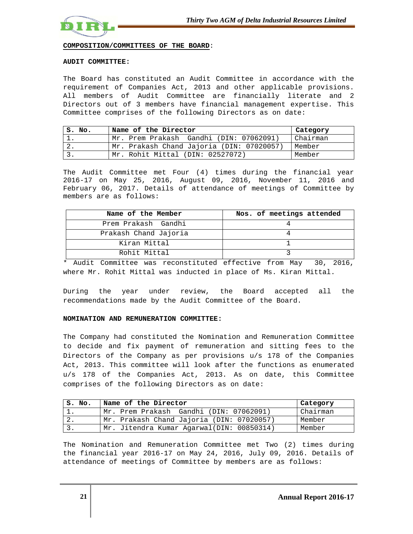

**COMPOSITION/COMMITTEES OF THE BOARD**:

### **AUDIT COMMITTEE:**

The Board has constituted an Audit Committee in accordance with the requirement of Companies Act, 2013 and other applicable provisions. All members of Audit Committee are financially literate and 2 Directors out of 3 members have financial management expertise. This Committee comprises of the following Directors as on date:

| IS. No. | Name of the Director                      | Category |
|---------|-------------------------------------------|----------|
|         | Mr. Prem Prakash Gandhi (DIN: 07062091)   | Chairman |
| 2.      | Mr. Prakash Chand Jajoria (DIN: 07020057) | Member   |
|         | Mr. Rohit Mittal (DIN: 02527072)          | Member   |

The Audit Committee met Four (4) times during the financial year 2016-17 on May 25, 2016, August 09, 2016, November 11, 2016 and February 06, 2017. Details of attendance of meetings of Committee by members are as follows:

| Name of the Member    | Nos. of meetings attended |
|-----------------------|---------------------------|
| Prem Prakash Gandhi   |                           |
| Prakash Chand Jajoria |                           |
| Kiran Mittal          |                           |
| Rohit Mittal          |                           |

\* Audit Committee was reconstituted effective from May 30, 2016, where Mr. Rohit Mittal was inducted in place of Ms. Kiran Mittal.

During the year under review, the Board accepted all the recommendations made by the Audit Committee of the Board.

### **NOMINATION AND REMUNERATION COMMITTEE:**

The Company had constituted the Nomination and Remuneration Committee to decide and fix payment of remuneration and sitting fees to the Directors of the Company as per provisions u/s 178 of the Companies Act, 2013. This committee will look after the functions as enumerated u/s 178 of the Companies Act, 2013. As on date, this Committee comprises of the following Directors as on date:

| S. No.        | Name of the Director                      | Category |
|---------------|-------------------------------------------|----------|
|               | Mr. Prem Prakash Gandhi (DIN: 07062091)   | Chairman |
| $^{\circ}$ 2. | Mr. Prakash Chand Jajoria (DIN: 07020057) | Member   |
|               | Mr. Jitendra Kumar Agarwal(DIN: 00850314) | Member   |

The Nomination and Remuneration Committee met Two (2) times during the financial year 2016-17 on May 24, 2016, July 09, 2016. Details of attendance of meetings of Committee by members are as follows: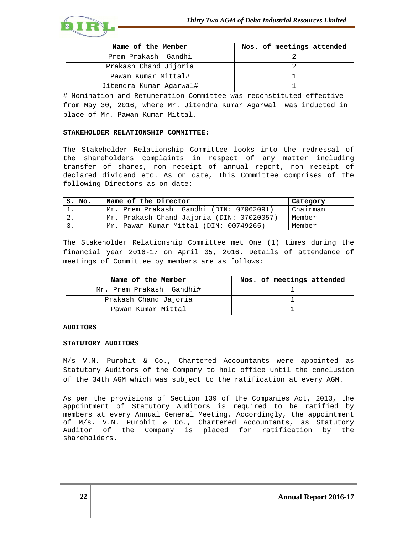

| Name of the Member      | Nos. of meetings attended |
|-------------------------|---------------------------|
| Prem Prakash Gandhi     |                           |
| Prakash Chand Jijoria   |                           |
| Pawan Kumar Mittal#     |                           |
| Jitendra Kumar Agarwal# |                           |

# Nomination and Remuneration Committee was reconstituted effective from May 30, 2016, where Mr. Jitendra Kumar Agarwal was inducted in place of Mr. Pawan Kumar Mittal.

### **STAKEHOLDER RELATIONSHIP COMMITTEE:**

The Stakeholder Relationship Committee looks into the redressal of the shareholders complaints in respect of any matter including transfer of shares, non receipt of annual report, non receipt of declared dividend etc. As on date, This Committee comprises of the following Directors as on date:

| S. No. | Name of the Director                      | Category |
|--------|-------------------------------------------|----------|
|        | Mr. Prem Prakash Gandhi (DIN: 07062091)   | Chairman |
| Ζ.     | Mr. Prakash Chand Jajoria (DIN: 07020057) | Member   |
|        | Mr. Pawan Kumar Mittal (DIN: 00749265)    | Member   |

The Stakeholder Relationship Committee met One (1) times during the financial year 2016-17 on April 05, 2016. Details of attendance of meetings of Committee by members are as follows:

| Name of the Member       | Nos. of meetings attended |
|--------------------------|---------------------------|
| Mr. Prem Prakash Gandhi# |                           |
| Prakash Chand Jajoria    |                           |
| Pawan Kumar Mittal       |                           |

### **AUDITORS**

### **STATUTORY AUDITORS**

M/s V.N. Purohit & Co., Chartered Accountants were appointed as Statutory Auditors of the Company to hold office until the conclusion of the 34th AGM which was subject to the ratification at every AGM.

As per the provisions of Section 139 of the Companies Act, 2013, the appointment of Statutory Auditors is required to be ratified by members at every Annual General Meeting. Accordingly, the appointment of M/s. V.N. Purohit & Co., Chartered Accountants, as Statutory Auditor of the Company is placed for ratification by the shareholders.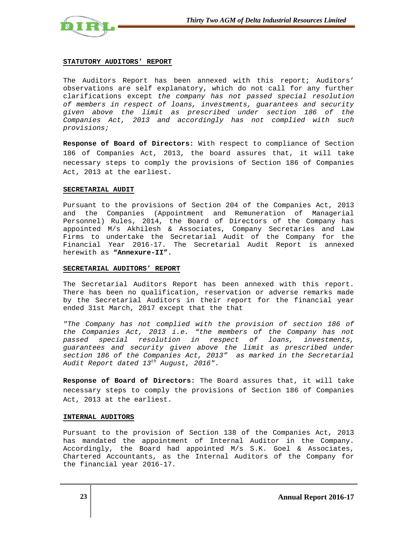

### **STATUTORY AUDITORS' REPORT**

The Auditors Report has been annexed with this report; Auditors' observations are self explanatory, which do not call for any further clarifications except the company has not passed special resolution of members in respect of loans, investments, guarantees and security given above the limit as prescribed under section 186 of the Companies Act, 2013 and accordingly has not complied with such provisions;

**Response of Board of Directors:** With respect to compliance of Section 186 of Companies Act, 2013, the board assures that, it will take necessary steps to comply the provisions of Section 186 of Companies Act, 2013 at the earliest.

### **SECRETARIAL AUDIT**

Pursuant to the provisions of Section 204 of the Companies Act, 2013 and the Companies (Appointment and Remuneration of Managerial Personnel) Rules, 2014, the Board of Directors of the Company has appointed M/s Akhilesh & Associates, Company Secretaries and Law Firms to undertake the Secretarial Audit of the Company for the Financial Year 2016-17. The Secretarial Audit Report is annexed herewith as **"Annexure-II".** 

### **SECRETARIAL AUDITORS' REPORT**

The Secretarial Auditors Report has been annexed with this report. There has been no qualification, reservation or adverse remarks made by the Secretarial Auditors in their report for the financial year ended 31st March, 2017 except that the that

"The Company has not complied with the provision of section 186 of the Companies Act, 2013 i.e. "the members of the Company has not passed special resolution in respect of loans, investments, guarantees and security given above the limit as prescribed under section 186 of the Companies Act, 2013" as marked in the Secretarial Audit Report dated  $13^{th}$  August, 2016".

**Response of Board of Directors:** The Board assures that, it will take necessary steps to comply the provisions of Section 186 of Companies Act, 2013 at the earliest.

### **INTERNAL AUDITORS**

Pursuant to the provision of Section 138 of the Companies Act, 2013 has mandated the appointment of Internal Auditor in the Company. Accordingly, the Board had appointed M/s S.K. Goel & Associates, Chartered Accountants, as the Internal Auditors of the Company for the financial year 2016-17.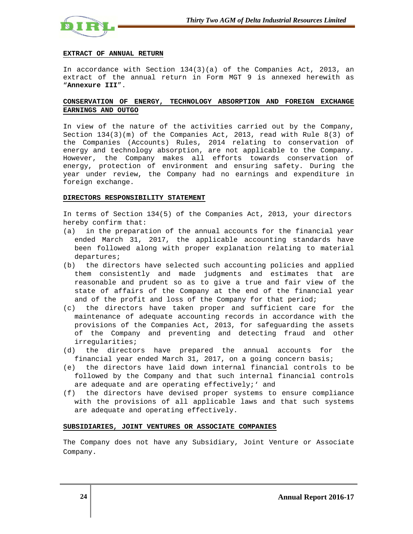

### **EXTRACT OF ANNUAL RETURN**

In accordance with Section 134(3)(a) of the Companies Act, 2013, an extract of the annual return in Form MGT 9 is annexed herewith as "**Annexure III**".

# **CONSERVATION OF ENERGY, TECHNOLOGY ABSORPTION AND FOREIGN EXCHANGE EARNINGS AND OUTGO**

In view of the nature of the activities carried out by the Company, Section  $134(3)(m)$  of the Companies Act, 2013, read with Rule 8(3) of the Companies (Accounts) Rules, 2014 relating to conservation of energy and technology absorption, are not applicable to the Company. However, the Company makes all efforts towards conservation of energy, protection of environment and ensuring safety. During the year under review, the Company had no earnings and expenditure in foreign exchange.

### **DIRECTORS RESPONSIBILITY STATEMENT**

In terms of Section 134(5) of the Companies Act, 2013, your directors hereby confirm that:

- (a) in the preparation of the annual accounts for the financial year ended March 31, 2017, the applicable accounting standards have been followed along with proper explanation relating to material departures;
- (b) the directors have selected such accounting policies and applied them consistently and made judgments and estimates that are reasonable and prudent so as to give a true and fair view of the state of affairs of the Company at the end of the financial year and of the profit and loss of the Company for that period;
- (c) the directors have taken proper and sufficient care for the maintenance of adequate accounting records in accordance with the provisions of the Companies Act, 2013, for safeguarding the assets of the Company and preventing and detecting fraud and other irregularities;
- (d) the directors have prepared the annual accounts for the financial year ended March 31, 2017, on a going concern basis;
- (e) the directors have laid down internal financial controls to be followed by the Company and that such internal financial controls are adequate and are operating effectively;' and
- (f) the directors have devised proper systems to ensure compliance with the provisions of all applicable laws and that such systems are adequate and operating effectively.

### **SUBSIDIARIES, JOINT VENTURES OR ASSOCIATE COMPANIES**

The Company does not have any Subsidiary, Joint Venture or Associate Company.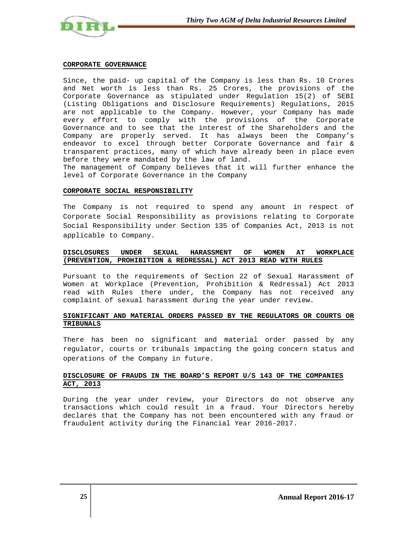

### **CORPORATE GOVERNANCE**

Since, the paid- up capital of the Company is less than Rs. 10 Crores and Net worth is less than Rs. 25 Crores, the provisions of the Corporate Governance as stipulated under Regulation 15(2) of SEBI (Listing Obligations and Disclosure Requirements) Regulations, 2015 are not applicable to the Company. However, your Company has made every effort to comply with the provisions of the Corporate Governance and to see that the interest of the Shareholders and the Company are properly served. It has always been the Company's endeavor to excel through better Corporate Governance and fair & transparent practices, many of which have already been in place even before they were mandated by the law of land.

The management of Company believes that it will further enhance the level of Corporate Governance in the Company

### **CORPORATE SOCIAL RESPONSIBILITY**

The Company is not required to spend any amount in respect of Corporate Social Responsibility as provisions relating to Corporate Social Responsibility under Section 135 of Companies Act, 2013 is not applicable to Company.

# **DISCLOSURES UNDER SEXUAL HARASSMENT OF WOMEN AT WORKPLACE (PREVENTION, PROHIBITION & REDRESSAL) ACT 2013 READ WITH RULES**

Pursuant to the requirements of Section 22 of Sexual Harassment of Women at Workplace (Prevention, Prohibition & Redressal) Act 2013 read with Rules there under, the Company has not received any complaint of sexual harassment during the year under review.

# **SIGNIFICANT AND MATERIAL ORDERS PASSED BY THE REGULATORS OR COURTS OR TRIBUNALS**

There has been no significant and material order passed by any regulator, courts or tribunals impacting the going concern status and operations of the Company in future.

# **DISCLOSURE OF FRAUDS IN THE BOARD'S REPORT U/S 143 OF THE COMPANIES ACT, 2013**

During the year under review, your Directors do not observe any transactions which could result in a fraud. Your Directors hereby declares that the Company has not been encountered with any fraud or fraudulent activity during the Financial Year 2016-2017.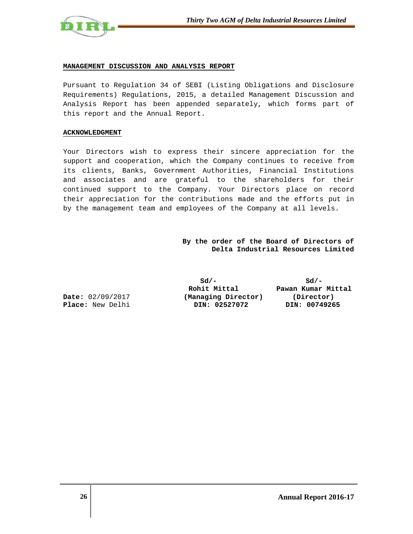

### **MANAGEMENT DISCUSSION AND ANALYSIS REPORT**

Pursuant to Regulation 34 of SEBI (Listing Obligations and Disclosure Requirements) Regulations, 2015, a detailed Management Discussion and Analysis Report has been appended separately, which forms part of this report and the Annual Report.

### **ACKNOWLEDGMENT**

Your Directors wish to express their sincere appreciation for the support and cooperation, which the Company continues to receive from its clients, Banks, Government Authorities, Financial Institutions and associates and are grateful to the shareholders for their continued support to the Company. Your Directors place on record their appreciation for the contributions made and the efforts put in by the management team and employees of the Company at all levels.

# **By the order of the Board of Directors of Delta Industrial Resources Limited**

**Sd/- Sd/- Date:** 02/09/2017 **(Managing Director) (Director) Place:** New Delhi **DIN: 02527072 DIN: 00749265** 

 **Rohit Mittal Pawan Kumar Mittal**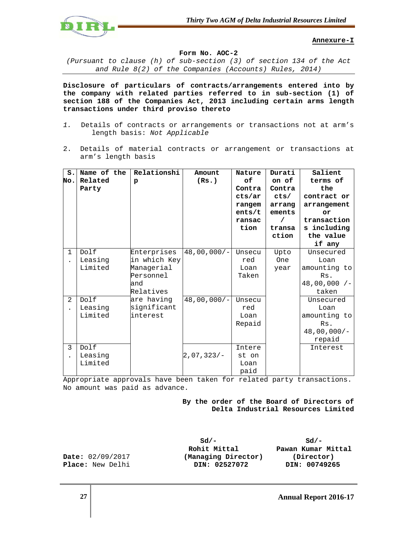

**Annexure-I**

**Form No. AOC-2** 

(Pursuant to clause (h) of sub-section (3) of section 134 of the Act and Rule 8(2) of the Companies (Accounts) Rules, 2014)

**Disclosure of particulars of contracts/arrangements entered into by the company with related parties referred to in sub-section (1) of section 188 of the Companies Act, 2013 including certain arms length transactions under third proviso thereto** 

- 1. Details of contracts or arrangements or transactions not at arm's length basis: Not Applicable
- 2. Details of material contracts or arrangement or transactions at arm's length basis

| $S$ .                | Name of the | Relationshi  | Amount        | Nature | Durati     | Salient        |
|----------------------|-------------|--------------|---------------|--------|------------|----------------|
| No.                  | Related     | $\mathbf{p}$ | (Rs.)         | оf     | on of      | terms of       |
|                      | Party       |              |               | Contra | Contra     | the            |
|                      |             |              |               | cts/ar | cts/       | contract or    |
|                      |             |              |               | rangem | arrang     | arrangement    |
|                      |             |              |               | ents/t | ements     | or             |
|                      |             |              |               | ransac | $\prime$   | transaction    |
|                      |             |              |               | tion   | transa     | s including    |
|                      |             |              |               |        | ction      | the value      |
|                      |             |              |               |        |            | if any         |
| $\mathbf{1}$         | Dolf        | Enterprises  | $48,00,000/-$ | Unsecu | Upto       | Unsecured      |
| $\ddot{\phantom{a}}$ | Leasing     | in which Key |               | red    | <b>One</b> | Loan           |
|                      | Limited     | Managerial   |               | Loan   | year       | amounting to   |
|                      |             | Personnel    |               | Taken  |            | Rs.            |
|                      |             | and          |               |        |            | $48,00,000$ /- |
|                      |             | Relatives    |               |        |            | taken          |
| 2                    | Dolf        | are having   | $48,00,000/-$ | Unsecu |            | Unsecured      |
|                      | Leasing     | significant  |               | red    |            | Loan           |
|                      | Limited     | linterest    |               | Loan   |            | amounting to   |
|                      |             |              |               | Repaid |            | Rs.            |
|                      |             |              |               |        |            | $48,00,000/-$  |
|                      |             |              |               |        |            | repaid         |
| 3                    | Dolf        |              |               | Intere |            | Interest       |
|                      | Leasing     |              | $2,07,323/-$  | st on  |            |                |
|                      | Limited     |              |               | Loan   |            |                |
|                      |             |              |               | paid   |            |                |

Appropriate approvals have been taken for related party transactions. No amount was paid as advance.

> **By the order of the Board of Directors of Delta Industrial Resources Limited**

**Sd/- Sd/- Rohit Mittal Pawan Kumar Mittal Date:** 02/09/2017 **(Managing Director) (Director) Place:** New Delhi **DIN: 02527072 DIN: 00749265**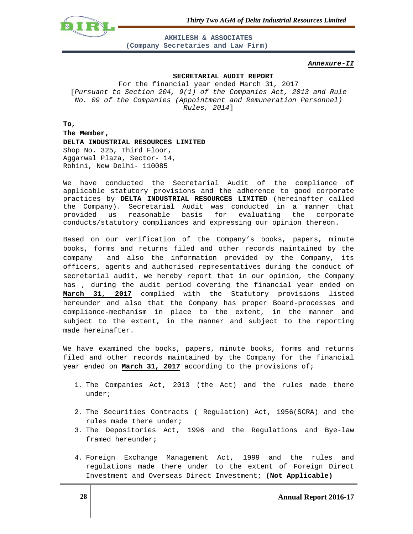*Thirty Two AGM of Delta Industrial Resources Limited*



**AKHILESH & ASSOCIATES (Company Secretaries and Law Firm)** 

### **Annexure-II**

### **SECRETARIAL AUDIT REPORT**

For the financial year ended March 31, 2017 [Pursuant to Section 204, 9(1) of the Companies Act, 2013 and Rule No. 09 of the Companies (Appointment and Remuneration Personnel) Rules, 2014]

**To, The Member, DELTA INDUSTRIAL RESOURCES LIMITED**  Shop No. 325, Third Floor, Aggarwal Plaza, Sector- 14, Rohini, New Delhi- 110085

We have conducted the Secretarial Audit of the compliance of applicable statutory provisions and the adherence to good corporate practices by **DELTA INDUSTRIAL RESOURCES LIMITED** (hereinafter called the Company). Secretarial Audit was conducted in a manner that provided us reasonable basis for evaluating the corporate conducts/statutory compliances and expressing our opinion thereon.

Based on our verification of the Company's books, papers, minute books, forms and returns filed and other records maintained by the company and also the information provided by the Company, its officers, agents and authorised representatives during the conduct of secretarial audit, we hereby report that in our opinion, the Company has , during the audit period covering the financial year ended on **March 31, 2017** complied with the Statutory provisions listed hereunder and also that the Company has proper Board-processes and compliance-mechanism in place to the extent, in the manner and subject to the extent, in the manner and subject to the reporting made hereinafter.

We have examined the books, papers, minute books, forms and returns filed and other records maintained by the Company for the financial year ended on **March 31, 2017** according to the provisions of;

- 1. The Companies Act, 2013 (the Act) and the rules made there under;
- 2. The Securities Contracts ( Regulation) Act, 1956(SCRA) and the rules made there under;
- 3. The Depositories Act, 1996 and the Regulations and Bye-law framed hereunder;
- 4. Foreign Exchange Management Act, 1999 and the rules and regulations made there under to the extent of Foreign Direct Investment and Overseas Direct Investment; **(Not Applicable)**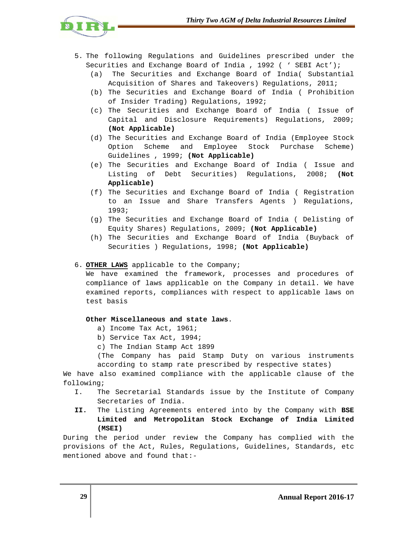

- 5. The following Regulations and Guidelines prescribed under the Securities and Exchange Board of India , 1992 ( ' SEBI Act');
	- (a) The Securities and Exchange Board of India( Substantial Acquisition of Shares and Takeovers) Regulations, 2011;
	- (b) The Securities and Exchange Board of India ( Prohibition of Insider Trading) Regulations, 1992;
	- (c) The Securities and Exchange Board of India ( Issue of Capital and Disclosure Requirements) Regulations, 2009; **(Not Applicable)**
	- (d) The Securities and Exchange Board of India (Employee Stock Option Scheme and Employee Stock Purchase Scheme) Guidelines , 1999; **(Not Applicable)**
	- (e) The Securities and Exchange Board of India ( Issue and Listing of Debt Securities) Regulations, 2008; **(Not Applicable)**
	- (f) The Securities and Exchange Board of India ( Registration to an Issue and Share Transfers Agents ) Regulations, 1993;
	- (g) The Securities and Exchange Board of India ( Delisting of Equity Shares) Regulations, 2009; **(Not Applicable)**
	- (h) The Securities and Exchange Board of India (Buyback of Securities ) Regulations, 1998; **(Not Applicable)**

# 6. **OTHER LAWS** applicable to the Company;

We have examined the framework, processes and procedures of compliance of laws applicable on the Company in detail. We have examined reports, compliances with respect to applicable laws on test basis

# **Other Miscellaneous and state laws**.

- a) Income Tax Act, 1961;
- b) Service Tax Act, 1994;
- c) The Indian Stamp Act 1899

(The Company has paid Stamp Duty on various instruments according to stamp rate prescribed by respective states)

We have also examined compliance with the applicable clause of the following;

- I. The Secretarial Standards issue by the Institute of Company Secretaries of India.
- **II.** The Listing Agreements entered into by the Company with **BSE Limited and Metropolitan Stock Exchange of India Limited (MSEI)**

During the period under review the Company has complied with the provisions of the Act, Rules, Regulations, Guidelines, Standards, etc mentioned above and found that:-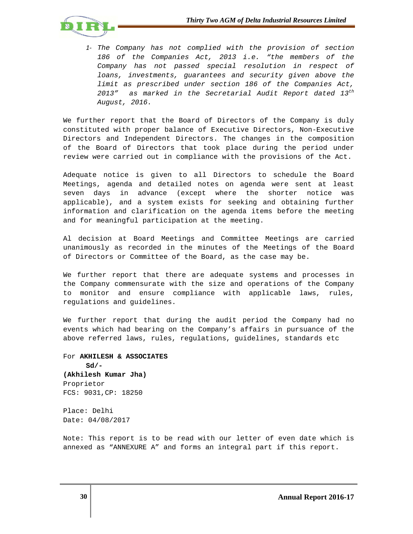

*1-* The Company has not complied with the provision of section 186 of the Companies Act, 2013 i.e. "the members of the Company has not passed special resolution in respect of loans, investments, guarantees and security given above the limit as prescribed under section 186 of the Companies Act, 2013" as marked in the Secretarial Audit Report dated  $13^{th}$ August, 2016.

We further report that the Board of Directors of the Company is duly constituted with proper balance of Executive Directors, Non-Executive Directors and Independent Directors. The changes in the composition of the Board of Directors that took place during the period under review were carried out in compliance with the provisions of the Act.

Adequate notice is given to all Directors to schedule the Board Meetings, agenda and detailed notes on agenda were sent at least seven days in advance (except where the shorter notice was applicable), and a system exists for seeking and obtaining further information and clarification on the agenda items before the meeting and for meaningful participation at the meeting.

Al decision at Board Meetings and Committee Meetings are carried unanimously as recorded in the minutes of the Meetings of the Board of Directors or Committee of the Board, as the case may be.

We further report that there are adequate systems and processes in the Company commensurate with the size and operations of the Company to monitor and ensure compliance with applicable laws, rules, regulations and guidelines.

We further report that during the audit period the Company had no events which had bearing on the Company's affairs in pursuance of the above referred laws, rules, regulations, guidelines, standards etc

For **AKHILESH & ASSOCIATES Sd/- (Akhilesh Kumar Jha)**  Proprietor FCS: 9031,CP: 18250

Place: Delhi Date: 04/08/2017

Note: This report is to be read with our letter of even date which is annexed as "ANNEXURE A" and forms an integral part if this report.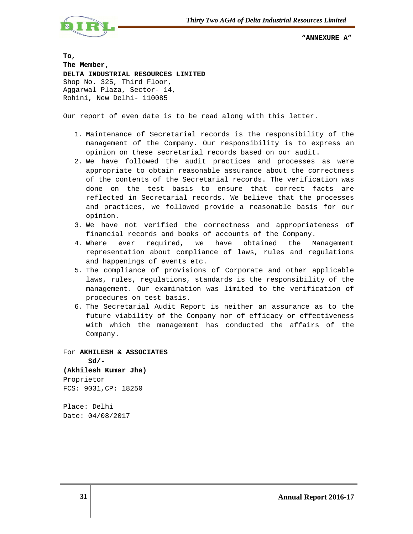

 **"ANNEXURE A"** 

**To, The Member, DELTA INDUSTRIAL RESOURCES LIMITED**  Shop No. 325, Third Floor, Aggarwal Plaza, Sector- 14, Rohini, New Delhi- 110085

Our report of even date is to be read along with this letter.

- 1. Maintenance of Secretarial records is the responsibility of the management of the Company. Our responsibility is to express an opinion on these secretarial records based on our audit.
- 2. We have followed the audit practices and processes as were appropriate to obtain reasonable assurance about the correctness of the contents of the Secretarial records. The verification was done on the test basis to ensure that correct facts are reflected in Secretarial records. We believe that the processes and practices, we followed provide a reasonable basis for our opinion.
- 3. We have not verified the correctness and appropriateness of financial records and books of accounts of the Company.
- 4. Where ever required, we have obtained the Management representation about compliance of laws, rules and regulations and happenings of events etc.
- 5. The compliance of provisions of Corporate and other applicable laws, rules, regulations, standards is the responsibility of the management. Our examination was limited to the verification of procedures on test basis.
- 6. The Secretarial Audit Report is neither an assurance as to the future viability of the Company nor of efficacy or effectiveness with which the management has conducted the affairs of the Company.

For **AKHILESH & ASSOCIATES Sd/- (Akhilesh Kumar Jha)**  Proprietor FCS: 9031,CP: 18250

Place: Delhi Date: 04/08/2017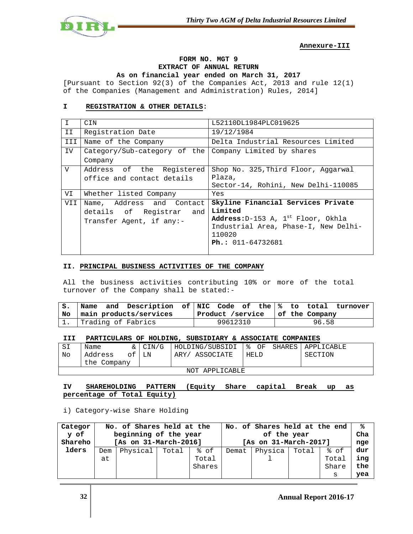

# **Annexure-III**

# **FORM NO. MGT 9 EXTRACT OF ANNUAL RETURN As on financial year ended on March 31, 2017**

[Pursuant to Section 92(3) of the Companies Act, 2013 and rule 12(1) of the Companies (Management and Administration) Rules, 2014]

# **I REGISTRATION & OTHER DETAILS:**

| $\mathsf{T}$ | CIN                                                    | L52110DL1984PLC019625                     |  |  |  |  |
|--------------|--------------------------------------------------------|-------------------------------------------|--|--|--|--|
| II           | Registration Date                                      | 19/12/1984                                |  |  |  |  |
| III          | Name of the Company                                    | Delta Industrial Resources Limited        |  |  |  |  |
| <b>IV</b>    | Category/Sub-category of the Company Limited by shares |                                           |  |  |  |  |
|              | Company                                                |                                           |  |  |  |  |
| V            | Address of the Registered                              | Shop No. 325, Third Floor, Aggarwal       |  |  |  |  |
|              | office and contact details                             | Plaza,                                    |  |  |  |  |
|              |                                                        | Sector-14, Rohini, New Delhi-110085       |  |  |  |  |
| VI           | Whether listed Company                                 | Yes                                       |  |  |  |  |
| VII          | Name, Address and Contact                              | Skyline Financial Services Private        |  |  |  |  |
|              | details of Registrar and                               | Limited                                   |  |  |  |  |
|              | Transfer Agent, if any:-                               | Address: $D-153$ A, $1^{st}$ Floor, Okhla |  |  |  |  |
|              |                                                        | Industrial Area, Phase-I, New Delhi-      |  |  |  |  |
|              |                                                        | 110020                                    |  |  |  |  |
|              |                                                        | $Ph.: 011-64732681$                       |  |  |  |  |
|              |                                                        |                                           |  |  |  |  |

# **II. PRINCIPAL BUSINESS ACTIVITIES OF THE COMPANY**

All the business activities contributing 10% or more of the total turnover of the Company shall be stated:-

| $S_{\bullet}$ |                             |  | Name and Description of NIC Code of the $\frac{1}{8}$ to total turnover |  |  |                                   |  |  |  |  |       |  |  |
|---------------|-----------------------------|--|-------------------------------------------------------------------------|--|--|-----------------------------------|--|--|--|--|-------|--|--|
|               | No   main products/services |  |                                                                         |  |  | Product /service   of the Company |  |  |  |  |       |  |  |
|               | 1. Trading of Fabrics       |  |                                                                         |  |  | 99612310                          |  |  |  |  | 96.58 |  |  |

# **III PARTICULARS OF HOLDING, SUBSIDIARY & ASSOCIATE COMPANIES**

| SI          | Name               |  | & CIN/G           | HOLDING/SUBSIDI   % OF SHARES |             |  |         | I АРРІ ТСАВІ Е |  |
|-------------|--------------------|--|-------------------|-------------------------------|-------------|--|---------|----------------|--|
| No          | of I LN<br>Address |  | ASSOCIATE<br>ARY/ |                               | <b>HELD</b> |  | SECTION |                |  |
| the Company |                    |  |                   |                               |             |  |         |                |  |
|             | NOT APPLICABLE     |  |                   |                               |             |  |         |                |  |

# **IV SHAREHOLDING PATTERN (Equity Share capital Break up as percentage of Total Equity)**

i) Category-wise Share Holding

| Categor | No. of Shares held at the |          |       |        |                       | No. of Shares held at the end | ℁     |       |     |
|---------|---------------------------|----------|-------|--------|-----------------------|-------------------------------|-------|-------|-----|
| y of    | beginning of the year     |          |       |        |                       |                               | Cha   |       |     |
| Shareho | [As on 31-March-2016]     |          |       |        | [As on 31-March-2017] |                               |       |       |     |
| lders   | Dem                       | Physical | Total | % of   | Demat                 | Physica                       | Total | % of  | dur |
|         | at                        |          |       | Total  |                       |                               |       | Total | ing |
|         |                           |          |       | Shares |                       |                               |       | Share | the |
|         |                           |          |       |        |                       |                               |       | S     | yea |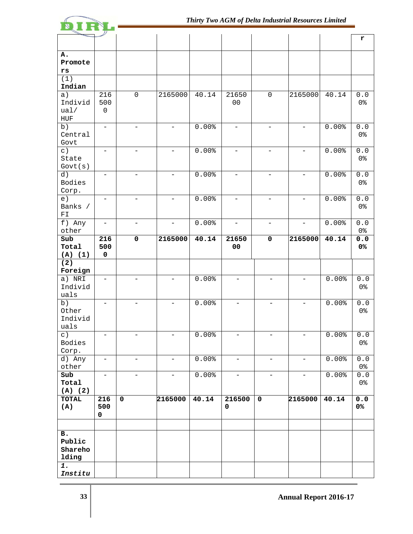|                                       |                          |                          |                          |       |                          |                          |                          |          | r                       |
|---------------------------------------|--------------------------|--------------------------|--------------------------|-------|--------------------------|--------------------------|--------------------------|----------|-------------------------|
|                                       |                          |                          |                          |       |                          |                          |                          |          |                         |
| Α.                                    |                          |                          |                          |       |                          |                          |                          |          |                         |
| Promote                               |                          |                          |                          |       |                          |                          |                          |          |                         |
| rs                                    |                          |                          |                          |       |                          |                          |                          |          |                         |
| (1)<br>Indian                         |                          |                          |                          |       |                          |                          |                          |          |                         |
| a)                                    | 216                      | $\mathsf 0$              | 2165000                  | 40.14 | 21650                    | $\mathsf{O}\xspace$      | 2165000                  | 40.14    | $0.0$                   |
| Individ                               | 500                      |                          |                          |       | 00                       |                          |                          |          | 0 <sup>°</sup>          |
| ual/                                  | $\mathsf{O}\xspace$      |                          |                          |       |                          |                          |                          |          |                         |
| ${\rm HUF}$                           |                          |                          |                          |       |                          |                          |                          |          |                         |
| b)                                    | $\equiv$                 | $\overline{\phantom{a}}$ | $\overline{\phantom{0}}$ | 0.00% | $\overline{\phantom{a}}$ | $\overline{\phantom{0}}$ | $\overline{\phantom{0}}$ | 0.00%    | $0.0$                   |
| Central                               |                          |                          |                          |       |                          |                          |                          |          | 0 <sup>°</sup>          |
| Govt                                  |                          |                          |                          |       |                          |                          |                          |          |                         |
| $\subset$ )<br>State                  | $\overline{\phantom{0}}$ | $\overline{\phantom{0}}$ | $\overline{\phantom{0}}$ | 0.00% | $\overline{\phantom{0}}$ | $\overline{\phantom{0}}$ |                          | 0.00%    | $0.0$<br>0 <sup>°</sup> |
| Govt(s)                               |                          |                          |                          |       |                          |                          |                          |          |                         |
| d)                                    | $\overline{\phantom{0}}$ | $\overline{\phantom{0}}$ | $\overline{\phantom{0}}$ | 0.00% | $\overline{\phantom{0}}$ | $\overline{\phantom{0}}$ | $\overline{\phantom{0}}$ | 0.00%    | $0.0$                   |
| Bodies                                |                          |                          |                          |       |                          |                          |                          |          | 0 <sup>°</sup>          |
| Corp.                                 |                          |                          |                          |       |                          |                          |                          |          |                         |
| e)                                    |                          |                          | $\overline{\phantom{0}}$ | 0.00% |                          | $\overline{\phantom{0}}$ |                          | 0.00%    | ${\bf 0}$ . ${\bf 0}$   |
| Banks /<br>$\mathbb{F} \, \mathbb{I}$ |                          |                          |                          |       |                          |                          |                          |          | 0 <sup>8</sup>          |
| $\overline{f}$ ) Any                  | -                        |                          | -                        | 0.00% | $\qquad \qquad -$        | -                        |                          | 0.00%    | $0.0$                   |
| other                                 |                          |                          |                          |       |                          |                          |                          |          | 0 <sup>°</sup>          |
| Sub                                   | 216                      | $\overline{\mathbf{0}}$  | 2165000                  | 40.14 | 21650                    | $\mathbf 0$              | 2165000                  | 40.14    | 0.0                     |
| Total                                 | 500                      |                          |                          |       | 00                       |                          |                          |          | 0%                      |
| (A) (1)                               | $\mathbf 0$              |                          |                          |       |                          |                          |                          |          |                         |
| (2)                                   |                          |                          |                          |       |                          |                          |                          |          |                         |
| Foreign                               |                          |                          | ÷.                       |       |                          |                          |                          |          |                         |
| a) NRI<br>Individ                     |                          |                          |                          | 0.00% |                          |                          |                          | 0.00%    | $0.0$<br>0 <sup>°</sup> |
| uals                                  |                          |                          |                          |       |                          |                          |                          |          |                         |
| b)                                    |                          |                          |                          | 0.00% |                          |                          |                          | 0.00%    | $\overline{0}$ .0       |
| Other                                 |                          |                          |                          |       |                          |                          |                          |          | 0 <sup>°</sup>          |
| Individ                               |                          |                          |                          |       |                          |                          |                          |          |                         |
| uals                                  |                          |                          |                          |       |                          |                          |                          |          |                         |
| $\circ$ )                             |                          |                          |                          | 0.00% |                          |                          |                          | 0.00%    | $0.0$                   |
| Bodies<br>Corp.                       |                          |                          |                          |       |                          |                          |                          |          | 0 <sup>°</sup>          |
| d) Any                                | $\overline{\phantom{a}}$ | $\equiv$                 | $\equiv$                 | 0.00% | $\equiv$                 | $ \,$                    | $\overline{\phantom{0}}$ | 0.00%    | 0.0                     |
| other                                 |                          |                          |                          |       |                          |                          |                          |          | 0 <sup>°</sup>          |
| Sub                                   | $\overline{\phantom{0}}$ | $\overline{\phantom{0}}$ | $-$                      | 0.00% | $\equiv$                 | $-$                      | $-$                      | $0.00$ % | $0.0$                   |
| Total                                 |                          |                          |                          |       |                          |                          |                          |          | 0 <sup>8</sup>          |
| (A) (2)                               |                          |                          |                          |       |                          |                          |                          |          |                         |
| <b>TOTAL</b>                          | 216                      | $\mathbf 0$              | 2165000                  | 40.14 | 216500                   | $\mathbf 0$              | 2165000                  | 40.14    | $0.0$                   |
| (A)                                   | 500<br>0                 |                          |                          |       | $\mathbf 0$              |                          |                          |          | 0%                      |
|                                       |                          |                          |                          |       |                          |                          |                          |          |                         |
|                                       |                          |                          |                          |       |                          |                          |                          |          |                         |
| в.<br>Public                          |                          |                          |                          |       |                          |                          |                          |          |                         |
| Shareho                               |                          |                          |                          |       |                          |                          |                          |          |                         |
| lding                                 |                          |                          |                          |       |                          |                          |                          |          |                         |
| 1.                                    |                          |                          |                          |       |                          |                          |                          |          |                         |
| Institu                               |                          |                          |                          |       |                          |                          |                          |          |                         |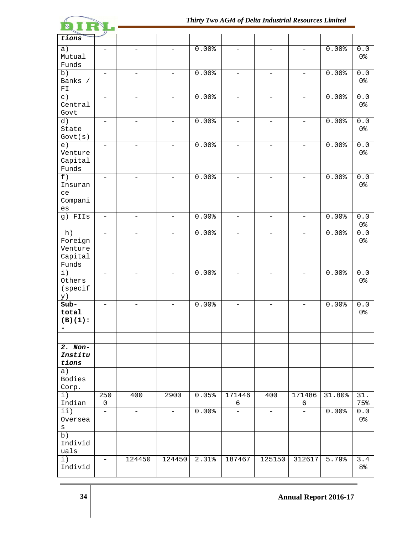

| tions                      |                          |                          |                          |       |                          |                          |                          |        |                                         |
|----------------------------|--------------------------|--------------------------|--------------------------|-------|--------------------------|--------------------------|--------------------------|--------|-----------------------------------------|
| a)                         |                          |                          |                          | 0.00% |                          |                          |                          | 0.00%  | ${\bf 0}$ . ${\bf 0}$                   |
| Mutual                     |                          |                          |                          |       |                          |                          |                          |        | 0 <sup>8</sup>                          |
| Funds                      |                          |                          |                          |       |                          |                          |                          |        |                                         |
| b)                         |                          |                          |                          | 0.00% |                          |                          |                          | 0.00%  | ${\bf 0}$ . ${\bf 0}$                   |
| Banks /                    |                          |                          |                          |       |                          |                          |                          |        | 0 <sup>8</sup>                          |
| $\mathbb{F} \, \mathbb{I}$ |                          |                          |                          |       |                          |                          |                          |        |                                         |
| $\subset$ )                | $\equiv$                 |                          | $\equiv$                 | 0.00% |                          | $\overline{\phantom{0}}$ |                          | 0.00%  | ${\bf 0}$ . ${\bf 0}$                   |
| Central                    |                          |                          |                          |       |                          |                          |                          |        | 0 <sup>8</sup>                          |
| Govt                       |                          |                          |                          |       |                          |                          |                          |        |                                         |
| d)                         | $\overline{\phantom{a}}$ | L.                       | $\equiv$                 | 0.00% |                          | $\equiv$                 | $\overline{\phantom{0}}$ | 0.00%  | ${\bf 0}$ . ${\bf 0}$                   |
| State                      |                          |                          |                          |       |                          |                          |                          |        | 0 <sup>8</sup>                          |
| Govt(s)                    |                          |                          |                          |       |                          |                          |                          |        |                                         |
| e)                         | $\overline{\phantom{0}}$ | $\equiv$                 | $-$                      | 0.00% | $\overline{\phantom{0}}$ | $\overline{\phantom{a}}$ | $\overline{\phantom{m}}$ | 0.00%  | ${\bf 0}$ . ${\bf 0}$                   |
| Venture                    |                          |                          |                          |       |                          |                          |                          |        | 0 <sup>°</sup>                          |
| Capital                    |                          |                          |                          |       |                          |                          |                          |        |                                         |
| Funds                      |                          |                          |                          |       |                          |                          |                          |        |                                         |
| f)                         | $-$                      | $\overline{\phantom{0}}$ | $\overline{\phantom{0}}$ | 0.00% | $\qquad \qquad -$        | $\overline{\phantom{0}}$ | $\overline{\phantom{0}}$ | 0.00%  | ${\bf 0}$ . ${\bf 0}$                   |
| Insuran                    |                          |                          |                          |       |                          |                          |                          |        | 0 <sup>8</sup>                          |
| ce                         |                          |                          |                          |       |                          |                          |                          |        |                                         |
| Compani                    |                          |                          |                          |       |                          |                          |                          |        |                                         |
| $\mathop{\mathsf{es}}$     |                          |                          |                          |       |                          |                          |                          |        |                                         |
| g) FIIs                    | $\overline{\phantom{0}}$ | $\overline{\phantom{0}}$ | $\qquad \qquad -$        | 0.00% | $\overline{\phantom{a}}$ | $\overline{\phantom{a}}$ | $\overline{\phantom{a}}$ | 0.00%  | ${\bf 0}$ . ${\bf 0}$<br>0 <sup>8</sup> |
| h)                         | $\equiv$                 |                          | $\overline{\phantom{0}}$ | 0.00% | $\qquad \qquad -$        | $\overline{\phantom{m}}$ | $\overline{\phantom{0}}$ | 0.00%  | ${\bf 0}$ . ${\bf 0}$                   |
| Foreign                    |                          |                          |                          |       |                          |                          |                          |        | 0 <sup>8</sup>                          |
| Venture                    |                          |                          |                          |       |                          |                          |                          |        |                                         |
| Capital                    |                          |                          |                          |       |                          |                          |                          |        |                                         |
| Funds                      |                          |                          |                          |       |                          |                          |                          |        |                                         |
| $\pm$ )                    | $\overline{\phantom{0}}$ |                          | $\overline{\phantom{0}}$ | 0.00% |                          |                          | $\overline{\phantom{0}}$ | 0.00%  | $\overline{0}$ .0                       |
| Others                     |                          |                          |                          |       |                          |                          |                          |        | 0 <sup>8</sup>                          |
| (specif                    |                          |                          |                          |       |                          |                          |                          |        |                                         |
| y)                         |                          |                          |                          |       |                          |                          |                          |        |                                         |
| $Sub-$                     |                          |                          | -                        | 0.00% |                          |                          |                          | 0.00%  | ${\bf 0}$ . ${\bf 0}$                   |
| total                      |                          |                          |                          |       |                          |                          |                          |        | 0 <sup>8</sup>                          |
| $(B)(1)$ :                 |                          |                          |                          |       |                          |                          |                          |        |                                         |
| -                          |                          |                          |                          |       |                          |                          |                          |        |                                         |
|                            |                          |                          |                          |       |                          |                          |                          |        |                                         |
| $2.$ Non-                  |                          |                          |                          |       |                          |                          |                          |        |                                         |
| Institu                    |                          |                          |                          |       |                          |                          |                          |        |                                         |
| tions                      |                          |                          |                          |       |                          |                          |                          |        |                                         |
| a)                         |                          |                          |                          |       |                          |                          |                          |        |                                         |
| Bodies                     |                          |                          |                          |       |                          |                          |                          |        |                                         |
| Corp.                      |                          |                          |                          |       |                          |                          |                          |        |                                         |
| $\pm$ )                    | 250                      | 400                      | 2900                     | 0.05% | 171446                   | 400                      | 171486                   | 31.80% | 31.                                     |
| Indian                     | $\mathsf 0$              |                          |                          |       | 6                        |                          | 6                        |        | 75%                                     |
| $\pm\pm$ )                 | $\equiv$                 | $\overline{\phantom{a}}$ | $\overline{\phantom{0}}$ | 0.00% |                          | $\overline{\phantom{0}}$ |                          | 0.00%  | $0.0$                                   |
| Oversea                    |                          |                          |                          |       |                          |                          |                          |        | 0 <sup>8</sup>                          |
| S                          |                          |                          |                          |       |                          |                          |                          |        |                                         |
| b)<br>Individ              |                          |                          |                          |       |                          |                          |                          |        |                                         |
| uals                       |                          |                          |                          |       |                          |                          |                          |        |                                         |
| $\overline{i}$ )           | $\overline{\phantom{0}}$ | 124450                   | 124450                   | 2.31% | 187467                   | 125150                   | 312617                   | 5.79%  | $\overline{3.4}$                        |
| Individ                    |                          |                          |                          |       |                          |                          |                          |        | 8 <sup>°</sup>                          |
|                            |                          |                          |                          |       |                          |                          |                          |        |                                         |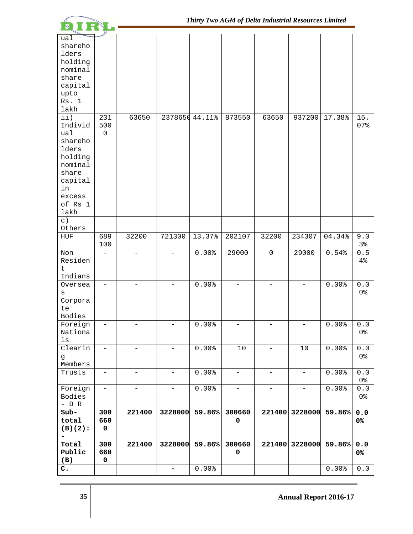|                                                                                                                              |                          |                          |                              |                |                          | Thirty Two AGM of Delta Industrial Resources Limited |                          |                |                                                        |
|------------------------------------------------------------------------------------------------------------------------------|--------------------------|--------------------------|------------------------------|----------------|--------------------------|------------------------------------------------------|--------------------------|----------------|--------------------------------------------------------|
| ual<br>shareho<br>lders<br>holding<br>nominal<br>share<br>capital<br>upto<br>Rs. 1<br>lakh<br>$\pm\dot{\pm}$ )               | 231                      | 63650                    |                              | 2378650 44.11% | 873550                   | 63650                                                | 937200                   | 17.38%         | 15.                                                    |
| Individ<br>ual<br>shareho<br>lders<br>holding<br>nominal<br>share<br>capital<br>in<br>excess<br>of Rs 1<br>lakh<br>$\circ$ ) | 500<br>$\mathbf 0$       |                          |                              |                |                          |                                                      |                          |                | 07%                                                    |
| Others                                                                                                                       |                          |                          |                              |                |                          |                                                      |                          |                |                                                        |
| ${\tt HUF}$                                                                                                                  | 689<br>100               | 32200                    | 721300                       | 13.37%         | 202107                   | 32200                                                | 234307                   | 04.34%         | 9.0<br>3%                                              |
| Non<br>Residen<br>$\mathsf{t}$<br>Indians<br>Oversea<br>S<br>Corpora<br>te<br>Bodies                                         |                          |                          |                              | 0.00%<br>0.00% | 29000                    | $\mathsf{O}$                                         | 29000                    | 0.54%<br>0.00% | $0.5$<br>4%<br>${\bf 0}$ . ${\bf 0}$<br>0 <sup>°</sup> |
| Foreign<br>Nationa<br>ls                                                                                                     | $\overline{\phantom{0}}$ |                          | $\overline{\phantom{0}}$     | 0.00%          |                          | $\overline{\phantom{0}}$                             | $\overline{\phantom{0}}$ | 0.00%          | ${\bf 0}$ . ${\bf 0}$<br>0 <sup>8</sup>                |
| Clearin<br>g<br>Members                                                                                                      | $\qquad \qquad -$        | $\overline{\phantom{0}}$ | $\overline{\phantom{a}}$     | 0.00%          | $10$                     | $\qquad \qquad -$                                    | $10$                     | 0.00%          | ${\bf 0}$ . ${\bf 0}$<br>0 <sup>8</sup>                |
| Trusts                                                                                                                       | $\overline{\phantom{a}}$ | $\overline{\phantom{0}}$ | $\overline{\phantom{0}}$     | 0.00%          | $\overline{\phantom{0}}$ | $\qquad \qquad -$                                    | $\overline{\phantom{a}}$ | 0.00%          | $0.0$<br>0 <sup>8</sup>                                |
| Foreign<br>Bodies<br>$-$ D R                                                                                                 | $\overline{\phantom{a}}$ | $\qquad \qquad -$        | $\qquad \qquad -$            | 0.00%          | $\overline{\phantom{a}}$ | $\overline{\phantom{a}}$                             | $\overline{\phantom{a}}$ | $0.00$ %       | ${\bf 0}$ . ${\bf 0}$<br>0 <sup>8</sup>                |
| $Sub-$<br>total<br>$(B)(2)$ :                                                                                                | 300<br>660<br>$\pmb{0}$  | 221400                   | 3228000                      | 59.86%         | 300660<br>0              | 221400                                               | 3228000                  | 59.86%         | $0.0$<br>0%                                            |
| Total<br>Public<br>(B)                                                                                                       | 300<br>660<br>$\pmb{0}$  | 221400                   | 3228000                      | 59.86%         | 300660<br>0              | 221400                                               | 3228000                  | 59.86%         | $0.0$<br>0%                                            |
| $\mathbf{c}$ .                                                                                                               |                          |                          | $\qquad \qquad \blacksquare$ | 0.00%          |                          |                                                      |                          | 0.00%          | ${\bf 0}$ . ${\bf 0}$                                  |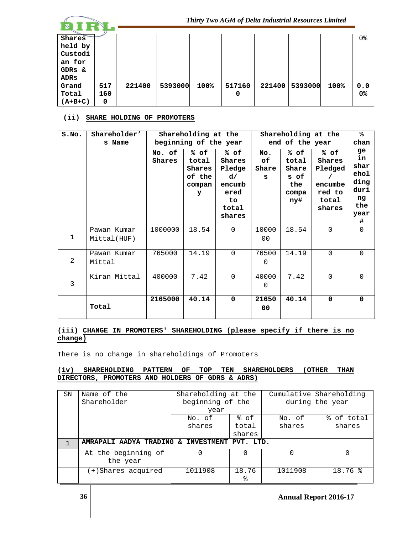|                                                                 |            |        |         |      |             | Thirty Two AGM of Delta Industrial Resources Limited |         |      |           |
|-----------------------------------------------------------------|------------|--------|---------|------|-------------|------------------------------------------------------|---------|------|-----------|
| <b>Shares</b><br>held by<br>Custodi<br>an for<br>GDRS &<br>ADRs |            |        |         |      |             |                                                      |         |      | 0%        |
| Grand<br>Total                                                  | 517<br>160 | 221400 | 5393000 | 100% | 517160<br>0 | 221400                                               | 5393000 | 100% | 0.0<br>0% |
| $(A+B+C)$                                                       | 0          |        |         |      |             |                                                      |         |      |           |

## **(ii) SHARE HOLDING OF PROMOTERS**

| S.NO.       | Shareholder'<br>s Name     |                  | ℁<br>Shareholding at the<br>Shareholding at the<br>beginning of the year<br>end of the year<br>chan |                                                                            |                         |                                                       |                                                                   |                                                                    |
|-------------|----------------------------|------------------|-----------------------------------------------------------------------------------------------------|----------------------------------------------------------------------------|-------------------------|-------------------------------------------------------|-------------------------------------------------------------------|--------------------------------------------------------------------|
|             |                            | No. of<br>Shares | % of<br>total<br>Shares<br>of the<br>compan<br>У                                                    | % of<br>Shares<br>Pledge<br>d/<br>encumb<br>ered<br>to.<br>total<br>shares | No.<br>of<br>Share<br>s | % of<br>total<br>Share<br>s of<br>the<br>compa<br>ny# | % of<br>Shares<br>Pledged<br>encumbe<br>red to<br>total<br>shares | ge<br>in<br>shar<br>ehol<br>ding<br>duri<br>ng<br>the<br>year<br># |
| $\mathbf 1$ | Pawan Kumar<br>Mittal(HUF) | 1000000          | 18.54                                                                                               | $\Omega$                                                                   | 10000<br>0 <sub>0</sub> | 18.54                                                 | $\Omega$                                                          | $\Omega$                                                           |
| 2           | Pawan Kumar<br>Mittal      | 765000           | 14.19                                                                                               | $\Omega$                                                                   | 76500<br>0              | 14.19                                                 | $\Omega$                                                          | $\Omega$                                                           |
| 3           | Kiran Mittal               | 400000           | 7.42                                                                                                | $\Omega$                                                                   | 40000<br>$\Omega$       | 7.42                                                  | $\Omega$                                                          | $\Omega$                                                           |
|             | Total                      | 2165000          | 40.14                                                                                               | $\mathbf 0$                                                                | 21650<br>00             | 40.14                                                 | 0                                                                 | $\mathbf 0$                                                        |

# **(iii) CHANGE IN PROMOTERS' SHAREHOLDING (please specify if there is no change)**

There is no change in shareholdings of Promoters

# **(iv) SHAREHOLDING PATTERN OF TOP TEN SHAREHOLDERS (OTHER THAN DIRECTORS, PROMOTERS AND HOLDERS OF GDRS & ADRS)**

| SN | Name of the                                   | Shareholding at the |        | Cumulative Shareholding |            |  |
|----|-----------------------------------------------|---------------------|--------|-------------------------|------------|--|
|    | Shareholder                                   | beginning of the    |        | during the year         |            |  |
|    |                                               | year                |        |                         |            |  |
|    |                                               | No. of              | % of   | No. of                  | % of total |  |
|    |                                               | shares              | total  | shares                  | shares     |  |
|    |                                               |                     | shares |                         |            |  |
|    | AMRAPALI AADYA TRADING & INVESTMENT PVT. LTD. |                     |        |                         |            |  |
|    | At the beginning of                           |                     | 0      |                         |            |  |
|    | the year                                      |                     |        |                         |            |  |
|    | (+)Shares acquired                            | 1011908             | 18.76  | 1011908                 | 18.76%     |  |
|    |                                               |                     | ٩,     |                         |            |  |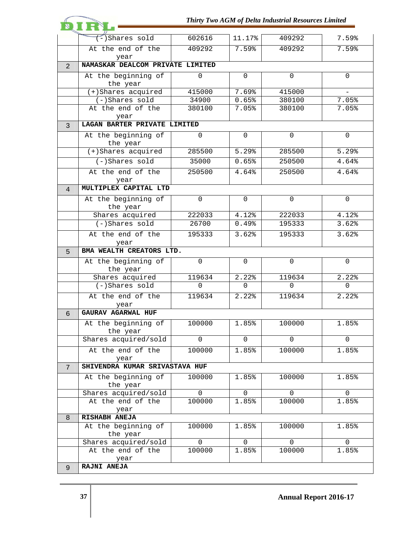|                |                                           |                 |                | Thirty Two AGM of Delta Industrial Resources Limited |              |  |  |  |
|----------------|-------------------------------------------|-----------------|----------------|------------------------------------------------------|--------------|--|--|--|
|                |                                           |                 |                |                                                      |              |  |  |  |
|                | -)Shares sold                             | 602616          | 11.17%         | 409292                                               | 7.59%        |  |  |  |
|                | At the end of the                         | 409292          | 7.59%          | 409292                                               | 7.59%        |  |  |  |
|                | year                                      |                 |                |                                                      |              |  |  |  |
| 2              | NAMASKAR DEALCOM PRIVATE LIMITED          |                 |                |                                                      |              |  |  |  |
|                | At the beginning of                       | $\Omega$        | $\Omega$       | $\Omega$                                             | $\Omega$     |  |  |  |
|                | the year                                  |                 |                |                                                      |              |  |  |  |
|                | (+)Shares acquired<br>$(-)$ Shares sold   | 415000<br>34900 | 7.69%<br>0.65% | 415000<br>380100                                     | 7.05%        |  |  |  |
|                | At the end of the                         | 380100          | 7.05%          | 380100                                               | 7.05%        |  |  |  |
|                | year                                      |                 |                |                                                      |              |  |  |  |
| 3              | LAGAN BARTER PRIVATE LIMITED              |                 |                |                                                      |              |  |  |  |
|                | At the beginning of                       | $\Omega$        | $\Omega$       | $\overline{0}$                                       | $\Omega$     |  |  |  |
|                | the year                                  |                 |                |                                                      |              |  |  |  |
|                | $(+)$ Shares acquired                     | 285500          | 5.29%          | 285500                                               | 5.29%        |  |  |  |
|                | (-)Shares sold                            | 35000           | 0.65%          | 250500                                               | 4.64%        |  |  |  |
|                | At the end of the                         | 250500          | 4.64%          | 250500                                               | 4.64%        |  |  |  |
|                | year                                      |                 |                |                                                      |              |  |  |  |
| $\overline{4}$ | MULTIPLEX CAPITAL LTD                     |                 |                |                                                      |              |  |  |  |
|                | At the beginning of                       | $\Omega$        | $\mathbf 0$    | $\Omega$                                             | $\mathsf{O}$ |  |  |  |
|                | the year                                  |                 |                |                                                      |              |  |  |  |
|                | Shares acquired                           | 222033          | 4.12%          | 222033                                               | 4.12%        |  |  |  |
|                | $(-)$ Shares sold                         | 26700           | 0.49%          | 195333                                               | 3.62%        |  |  |  |
|                | At the end of the<br>year                 | 195333          | 3.62%          | 195333                                               | 3.62%        |  |  |  |
| 5              | BMA WEALTH CREATORS LTD.                  |                 |                |                                                      |              |  |  |  |
|                | At the beginning of                       | $\Omega$        | 0              | $\Omega$                                             | 0            |  |  |  |
|                | the year                                  |                 |                |                                                      |              |  |  |  |
|                |                                           |                 |                |                                                      |              |  |  |  |
|                | Shares acquired                           | 119634          | 2.22%          | 119634                                               | 2.22%        |  |  |  |
|                | $(-)$ Shares sold                         | 0               | 0              | 0                                                    | 0            |  |  |  |
|                | At the end of the                         | 119634          | 2.22%          | 119634                                               | 2.22%        |  |  |  |
|                | year                                      |                 |                |                                                      |              |  |  |  |
| 6              | <b>GAURAV AGARWAL HUF</b>                 |                 |                |                                                      |              |  |  |  |
|                | At the beginning of                       | 100000          | 1.85%          | 100000                                               | 1.85%        |  |  |  |
|                | the year                                  |                 |                |                                                      |              |  |  |  |
|                | Shares acquired/sold                      | $\Omega$        | $\Omega$       | $\Omega$                                             | 0            |  |  |  |
|                | At the end of the                         | 100000          | 1.85%          | 100000                                               | 1.85%        |  |  |  |
|                | year                                      |                 |                |                                                      |              |  |  |  |
| 7              | SHIVENDRA KUMAR SRIVASTAVA HUF            |                 |                |                                                      |              |  |  |  |
|                | At the beginning of                       | 100000          | 1.85%          | 100000                                               | 1.85%        |  |  |  |
|                | the year                                  | $\Omega$        | $\mathbf 0$    | $\mathbf 0$                                          | 0            |  |  |  |
|                | Shares acquired/sold<br>At the end of the | 100000          | 1.85%          | 100000                                               | 1.85%        |  |  |  |
|                | year                                      |                 |                |                                                      |              |  |  |  |
| 8              | RISHABH ANEJA                             |                 |                |                                                      |              |  |  |  |
|                | At the beginning of                       | 100000          | 1.85%          | 100000                                               | 1.85%        |  |  |  |
|                | the year                                  |                 |                |                                                      |              |  |  |  |
|                | Shares acquired/sold                      | $\Omega$        | $\mathbf 0$    | $\mathbf 0$                                          | 0            |  |  |  |
|                | At the end of the<br>year                 | 100000          | 1.85%          | 100000                                               | 1.85%        |  |  |  |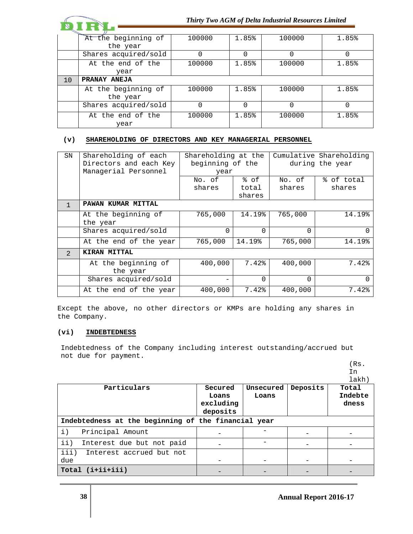|    |                      |        | Thirty Two AGM of Delta Industrial Resources Limited |          |       |  |  |
|----|----------------------|--------|------------------------------------------------------|----------|-------|--|--|
|    |                      |        |                                                      |          |       |  |  |
|    | At the beginning of  | 100000 | 1.85%                                                | 100000   | 1.85% |  |  |
|    | the year             |        |                                                      |          |       |  |  |
|    | Shares acquired/sold | 0      | 0                                                    | $\Omega$ |       |  |  |
|    | At the end of the    | 100000 | 1.85%                                                | 100000   | 1.85% |  |  |
|    | year                 |        |                                                      |          |       |  |  |
| 10 | PRANAY ANEJA         |        |                                                      |          |       |  |  |
|    | At the beginning of  | 100000 | 1.85%                                                | 100000   | 1.85% |  |  |
|    | the year             |        |                                                      |          |       |  |  |
|    | Shares acquired/sold | 0      | 0                                                    | $\Omega$ |       |  |  |
|    | At the end of the    | 100000 | 1.85%                                                | 100000   | 1.85% |  |  |
|    | year                 |        |                                                      |          |       |  |  |

# **(v) SHAREHOLDING OF DIRECTORS AND KEY MANAGERIAL PERSONNEL**

| SN             | Shareholding of each<br>Directors and each Key | Shareholding at the<br>beginning of the |          |          | Cumulative Shareholding<br>during the year |
|----------------|------------------------------------------------|-----------------------------------------|----------|----------|--------------------------------------------|
|                | Managerial Personnel                           | year                                    |          |          |                                            |
|                |                                                | No. of                                  | % of     | No. of   | % of total                                 |
|                |                                                | shares                                  | total    | shares   | shares                                     |
|                |                                                |                                         | shares   |          |                                            |
| $\mathbf{1}$   | PAWAN KUMAR MITTAL                             |                                         |          |          |                                            |
|                | At the beginning of                            | 765,000                                 | 14.19%   | 765,000  | 14.19%                                     |
|                | the year                                       |                                         |          |          |                                            |
|                | Shares acquired/sold                           | $\Omega$                                | $\Omega$ | $\Omega$ | O                                          |
|                | At the end of the year                         | 765,000                                 | 14.19%   | 765,000  | 14.19%                                     |
| $\overline{2}$ | KIRAN MITTAL                                   |                                         |          |          |                                            |
|                | At the beginning of                            | 400,000                                 | 7.42%    | 400,000  | 7.42%                                      |
|                | the year                                       |                                         |          |          |                                            |
|                | Shares acquired/sold                           |                                         | $\Omega$ | 0        | O                                          |
|                | At the end of the year                         | 400,000                                 | 7.42%    | 400,000  | 7.42%                                      |

Except the above, no other directors or KMPs are holding any shares in the Company.

# **(vi) INDEBTEDNESS**

Indebtedness of the Company including interest outstanding/accrued but not due for payment.

|                                                     |           |           |          | In      |
|-----------------------------------------------------|-----------|-----------|----------|---------|
|                                                     |           |           |          | lakh)   |
| Particulars                                         | Secured   | Unsecured | Deposits | Total   |
|                                                     | Loans     | Loans     |          | Indebte |
|                                                     | excluding |           |          | dness   |
|                                                     | deposits  |           |          |         |
| Indebtedness at the beginning of the financial year |           |           |          |         |
| $\pm$ )<br>Principal Amount                         |           |           |          |         |
| $\pm\pm$ )<br>Interest due but not paid             |           |           |          |         |
| iii)<br>Interest accrued but not                    |           |           |          |         |
| due                                                 |           |           |          |         |
| Total (i+ii+iii)                                    |           |           |          |         |

(Rs.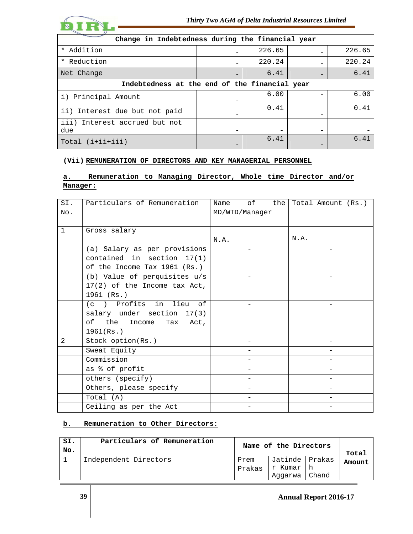

| Change in Indebtedness during the financial year |                          |        |                          |        |
|--------------------------------------------------|--------------------------|--------|--------------------------|--------|
| * Addition                                       |                          | 226.65 |                          | 226.65 |
| Reduction<br>$\star$                             | -                        | 220.24 |                          | 220.24 |
| Net Change                                       | $\overline{\phantom{0}}$ | 6.41   |                          | 6.41   |
| Indebtedness at the end of the financial year    |                          |        |                          |        |
| i) Principal Amount                              |                          | 6.00   |                          | 6.00   |
| ii) Interest due but not paid                    |                          | 0.41   |                          | 0.41   |
| iii)<br>Interest accrued but not<br>due          | -                        |        | $\overline{\phantom{0}}$ |        |
| $Total (i+iii+iii)$                              | -                        | 6.41   |                          | 6.41   |

# **(Vii) REMUNERATION OF DIRECTORS AND KEY MANAGERIAL PERSONNEL**

# **a. Remuneration to Managing Director, Whole time Director and/or Manager:**

| SI.          | Particulars of Remuneration    | of<br>the<br>Name | Total Amount (Rs.) |
|--------------|--------------------------------|-------------------|--------------------|
| No.          |                                | MD/WTD/Manager    |                    |
|              |                                |                   |                    |
| $\mathbf{1}$ | Gross salary                   |                   |                    |
|              |                                | N.A.              | N.A.               |
|              | (a) Salary as per provisions   |                   |                    |
|              | contained in section $17(1)$   |                   |                    |
|              | of the Income Tax 1961 (Rs.)   |                   |                    |
|              | (b) Value of perquisites $u/s$ |                   |                    |
|              | 17(2) of the Income tax Act,   |                   |                    |
|              | 1961 (Rs.)                     |                   |                    |
|              | (c) Profits in lieu of         |                   |                    |
|              | salary under section 17(3)     |                   |                    |
|              | of the Income<br>Tax Act,      |                   |                    |
|              | 1961(Rs.)                      |                   |                    |
| 2            | Stock option(Rs.)              |                   |                    |
|              | Sweat Equity                   |                   |                    |
|              | Commission                     |                   |                    |
|              | as % of profit                 |                   |                    |
|              | others (specify)               |                   |                    |
|              | Others, please specify         |                   |                    |
|              | Total (A)                      |                   |                    |
|              | Ceiling as per the Act         |                   |                    |

# **b. Remuneration to Other Directors:**

| SI.<br>No. | Particulars of Remuneration |        | Name of the Directors |       |        |
|------------|-----------------------------|--------|-----------------------|-------|--------|
|            | Independent Directors       | Prem   | Jatinde   Prakas      |       | Amount |
|            |                             | Prakas | r Kumar   h           |       |        |
|            |                             |        | Aggarwa               | Chand |        |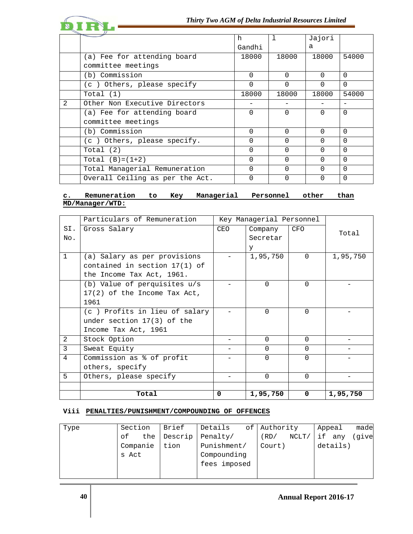

|                |                                 | h        |          | Jajori   |          |
|----------------|---------------------------------|----------|----------|----------|----------|
|                |                                 | Gandhi   |          | a        |          |
|                | (a) Fee for attending board     | 18000    | 18000    | 18000    | 54000    |
|                | committee meetings              |          |          |          |          |
|                | (b) Commission                  | $\Omega$ | $\Omega$ | $\Omega$ | $\Omega$ |
|                | (c) Others, please specify      | $\Omega$ | $\Omega$ | $\Omega$ | $\Omega$ |
|                | Total $(1)$                     | 18000    | 18000    | 18000    | 54000    |
| $\mathfrak{D}$ | Other Non Executive Directors   |          |          |          |          |
|                | (a) Fee for attending board     | $\Omega$ | $\Omega$ | $\Omega$ | $\Omega$ |
|                | committee meetings              |          |          |          |          |
|                | (b) Commission                  | U        | $\Omega$ | $\Omega$ | $\Omega$ |
|                | (c) Others, please specify.     | 0        | $\Omega$ | $\Omega$ | $\Omega$ |
|                | Total $(2)$                     | $\Omega$ | $\Omega$ | $\Omega$ | $\Omega$ |
|                | Total $(B)=(1+2)$               | O        | 0        | ∩        | $\Omega$ |
|                | Total Managerial Remuneration   | 0        | $\Omega$ | $\Omega$ | $\Omega$ |
|                | Overall Ceiling as per the Act. | U        | ∩        |          | $\Omega$ |

# **c. Remuneration to Key Managerial Personnel other than MD/Manager/WTD:**

|              | Particulars of Remuneration     |            | Key Managerial Personnel |          |          |
|--------------|---------------------------------|------------|--------------------------|----------|----------|
| SI.          | Gross Salary                    | <b>CEO</b> | Company                  | CFO      | Total    |
| No.          |                                 |            | Secretar                 |          |          |
|              |                                 |            | У                        |          |          |
| $\mathbf{1}$ | (a) Salary as per provisions    |            | 1,95,750                 | $\Omega$ | 1,95,750 |
|              | contained in section $17(1)$ of |            |                          |          |          |
|              | the Income Tax Act, 1961.       |            |                          |          |          |
|              | (b) Value of perquisites u/s    |            | $\Omega$                 | $\Omega$ |          |
|              | $17(2)$ of the Income Tax Act,  |            |                          |          |          |
|              | 1961                            |            |                          |          |          |
|              | (c) Profits in lieu of salary   |            | $\Omega$                 | $\Omega$ |          |
|              | under section $17(3)$ of the    |            |                          |          |          |
|              | Income Tax Act, 1961            |            |                          |          |          |
| 2            | Stock Option                    |            | $\Omega$                 | $\Omega$ |          |
| 3            | Sweat Equity                    |            | $\Omega$                 | $\Omega$ |          |
| 4            | Commission as % of profit       |            | $\Omega$                 | $\Omega$ |          |
|              | others, specify                 |            |                          |          |          |
| 5            | Others, please specify          |            | $\Omega$                 | $\Omega$ |          |
|              |                                 |            |                          |          |          |
|              | Total                           | 0          | 1,95,750                 | 0        | 1,95,750 |

# **Viii PENALTIES/PUNISHMENT/COMPOUNDING OF OFFENCES**

| Type | Section   | Brief   | Details      | of Authority  | made<br>Appeal |
|------|-----------|---------|--------------|---------------|----------------|
|      | the<br>оf | Descrip | Penalty/     | NCLT/<br>(RD) | give<br>if any |
|      | Companie  | tion    | Punishment/  | Court)        | details)       |
|      | s Act     |         | Compounding  |               |                |
|      |           |         | fees imposed |               |                |
|      |           |         |              |               |                |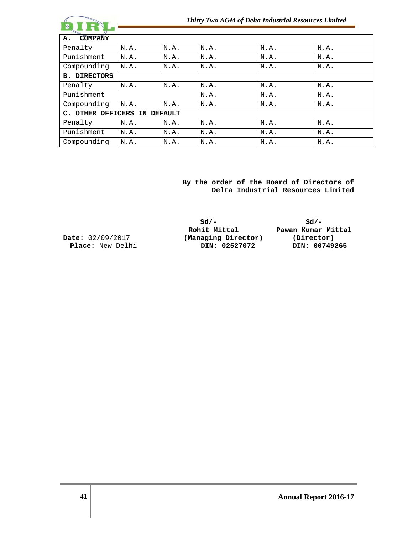|                                           |      |      | Thirty Two AGM of Delta Industrial Resources Limited |      |      |
|-------------------------------------------|------|------|------------------------------------------------------|------|------|
| <b>COMPANY</b><br>Α.                      |      |      |                                                      |      |      |
| Penalty                                   | N.A. | N.A. | N.A.                                                 | N.A. | N.A. |
| Punishment                                | N.A. | N.A. | N.A.                                                 | N.A. | N.A. |
| Compounding                               | N.A. | N.A. | N.A.                                                 | N.A. | N.A. |
| <b>B. DIRECTORS</b>                       |      |      |                                                      |      |      |
| Penalty                                   | N.A. | N.A. | N.A.                                                 | N.A. | N.A. |
| Punishment                                |      |      | N.A.                                                 | N.A. | N.A. |
| Compounding                               | N.A. | N.A. | N.A.                                                 | N.A. | N.A. |
| C. OTHER OFFICERS<br>IN<br><b>DEFAULT</b> |      |      |                                                      |      |      |
| Penalty                                   | N.A. | N.A. | N.A.                                                 | N.A. | N.A. |
| Punishment                                | N.A. | N.A. | N.A.                                                 | N.A. | N.A. |
| Compounding                               | N.A. | N.A. | N.A.                                                 | N.A. | N.A. |

 **By the order of the Board of Directors of Delta Industrial Resources Limited** 

|                         | $sd/-$              | $sd/-$             |  |  |
|-------------------------|---------------------|--------------------|--|--|
|                         | Rohit Mittal        | Pawan Kumar Mittal |  |  |
| <b>Date:</b> 02/09/2017 | (Managing Director) | (Director)         |  |  |
| <b>Place:</b> New Delhi | DIN: 02527072       | DIN: 00749265      |  |  |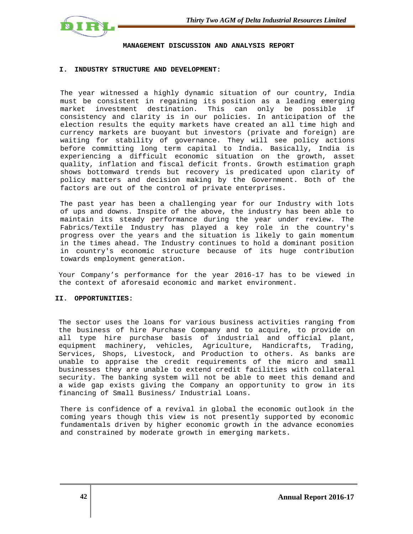

#### **MANAGEMENT DISCUSSION AND ANALYSIS REPORT**

### **I. INDUSTRY STRUCTURE AND DEVELOPMENT:**

The year witnessed a highly dynamic situation of our country, India must be consistent in regaining its position as a leading emerging market investment destination. This can only be possible if consistency and clarity is in our policies. In anticipation of the election results the equity markets have created an all time high and currency markets are buoyant but investors (private and foreign) are waiting for stability of governance. They will see policy actions before committing long term capital to India. Basically, India is experiencing a difficult economic situation on the growth, asset quality, inflation and fiscal deficit fronts. Growth estimation graph shows bottomward trends but recovery is predicated upon clarity of policy matters and decision making by the Government. Both of the factors are out of the control of private enterprises.

The past year has been a challenging year for our Industry with lots of ups and downs. Inspite of the above, the industry has been able to maintain its steady performance during the year under review. The Fabrics/Textile Industry has played a key role in the country's progress over the years and the situation is likely to gain momentum in the times ahead. The Industry continues to hold a dominant position in country's economic structure because of its huge contribution towards employment generation.

Your Company's performance for the year 2016-17 has to be viewed in the context of aforesaid economic and market environment.

#### **II. OPPORTUNITIES:**

The sector uses the loans for various business activities ranging from the business of hire Purchase Company and to acquire, to provide on all type hire purchase basis of industrial and official plant, equipment machinery, vehicles, Agriculture, Handicrafts, Trading, Services, Shops, Livestock, and Production to others. As banks are unable to appraise the credit requirements of the micro and small businesses they are unable to extend credit facilities with collateral security. The banking system will not be able to meet this demand and a wide gap exists giving the Company an opportunity to grow in its financing of Small Business/ Industrial Loans.

There is confidence of a revival in global the economic outlook in the coming years though this view is not presently supported by economic fundamentals driven by higher economic growth in the advance economies and constrained by moderate growth in emerging markets.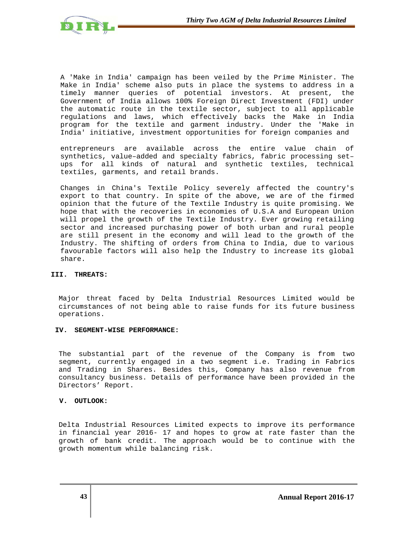

A 'Make in India' campaign has been veiled by the Prime Minister. The Make in India' scheme also puts in place the systems to address in a timely manner queries of potential investors. At present, the Government of India allows 100% Foreign Direct Investment (FDI) under the automatic route in the textile sector, subject to all applicable regulations and laws, which effectively backs the Make in India program for the textile and garment industry. Under the 'Make in India' initiative, investment opportunities for foreign companies and

entrepreneurs are available across the entire value chain of synthetics, value–added and specialty fabrics, fabric processing set– ups for all kinds of natural and synthetic textiles, technical textiles, garments, and retail brands.

Changes in China's Textile Policy severely affected the country's export to that country. In spite of the above, we are of the firmed opinion that the future of the Textile Industry is quite promising. We hope that with the recoveries in economies of U.S.A and European Union will propel the growth of the Textile Industry. Ever growing retailing sector and increased purchasing power of both urban and rural people are still present in the economy and will lead to the growth of the Industry. The shifting of orders from China to India, due to various favourable factors will also help the Industry to increase its global share.

## **III. THREATS:**

Major threat faced by Delta Industrial Resources Limited would be circumstances of not being able to raise funds for its future business operations.

# **IV. SEGMENT-WISE PERFORMANCE:**

The substantial part of the revenue of the Company is from two segment, currently engaged in a two segment i.e. Trading in Fabrics and Trading in Shares. Besides this, Company has also revenue from consultancy business. Details of performance have been provided in the Directors' Report.

# **V. OUTLOOK:**

Delta Industrial Resources Limited expects to improve its performance in financial year 2016- 17 and hopes to grow at rate faster than the growth of bank credit. The approach would be to continue with the growth momentum while balancing risk.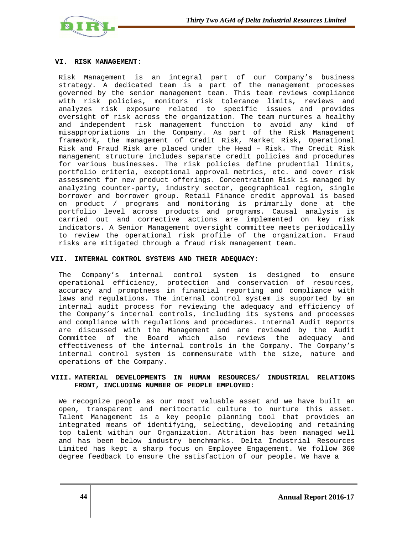

### **VI. RISK MANAGEMENT:**

Risk Management is an integral part of our Company's business strategy. A dedicated team is a part of the management processes governed by the senior management team. This team reviews compliance with risk policies, monitors risk tolerance limits, reviews and analyzes risk exposure related to specific issues and provides oversight of risk across the organization. The team nurtures a healthy and independent risk management function to avoid any kind of misappropriations in the Company. As part of the Risk Management framework, the management of Credit Risk, Market Risk, Operational Risk and Fraud Risk are placed under the Head – Risk. The Credit Risk management structure includes separate credit policies and procedures for various businesses. The risk policies define prudential limits, portfolio criteria, exceptional approval metrics, etc. and cover risk assessment for new product offerings. Concentration Risk is managed by analyzing counter-party, industry sector, geographical region, single borrower and borrower group. Retail Finance credit approval is based on product / programs and monitoring is primarily done at the portfolio level across products and programs. Causal analysis is carried out and corrective actions are implemented on key risk indicators. A Senior Management oversight committee meets periodically to review the operational risk profile of the organization. Fraud risks are mitigated through a fraud risk management team.

### **VII. INTERNAL CONTROL SYSTEMS AND THEIR ADEQUACY:**

The Company's internal control system is designed to ensure operational efficiency, protection and conservation of resources, accuracy and promptness in financial reporting and compliance with laws and regulations. The internal control system is supported by an internal audit process for reviewing the adequacy and efficiency of the Company's internal controls, including its systems and processes and compliance with regulations and procedures. Internal Audit Reports are discussed with the Management and are reviewed by the Audit Committee of the Board which also reviews the adequacy and effectiveness of the internal controls in the Company. The Company's internal control system is commensurate with the size, nature and operations of the Company.

## **VIII. MATERIAL DEVELOPMENTS IN HUMAN RESOURCES/ INDUSTRIAL RELATIONS FRONT, INCLUDING NUMBER OF PEOPLE EMPLOYED:**

We recognize people as our most valuable asset and we have built an open, transparent and meritocratic culture to nurture this asset. Talent Management is a key people planning tool that provides an integrated means of identifying, selecting, developing and retaining top talent within our Organization. Attrition has been managed well and has been below industry benchmarks. Delta Industrial Resources Limited has kept a sharp focus on Employee Engagement. We follow 360 degree feedback to ensure the satisfaction of our people. We have a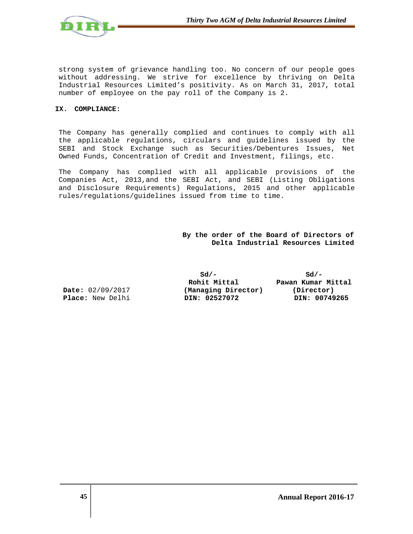

strong system of grievance handling too. No concern of our people goes without addressing. We strive for excellence by thriving on Delta Industrial Resources Limited's positivity. As on March 31, 2017, total number of employee on the pay roll of the Company is 2.

### **IX. COMPLIANCE:**

The Company has generally complied and continues to comply with all the applicable regulations, circulars and guidelines issued by the SEBI and Stock Exchange such as Securities/Debentures Issues, Net Owned Funds, Concentration of Credit and Investment, filings, etc.

The Company has complied with all applicable provisions of the Companies Act, 2013,and the SEBI Act, and SEBI (Listing Obligations and Disclosure Requirements) Regulations, 2015 and other applicable rules/regulations/guidelines issued from time to time.

> **By the order of the Board of Directors of Delta Industrial Resources Limited**

**Sd/- Sd/- Rohit Mittal Pawan Kumar Mittal Date:** 02/09/2017 **(Managing Director) (Director) Place:** New Delhi **DIN: 02527072 DIN: 00749265**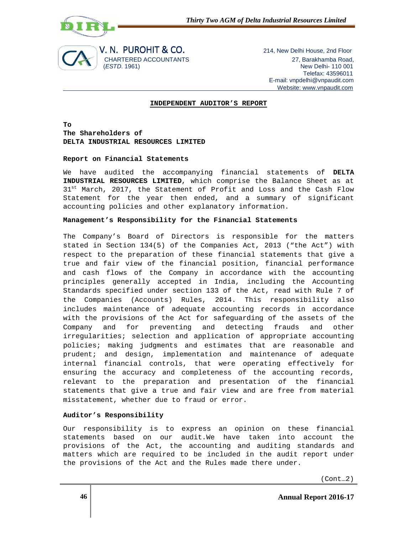



 Telefax: 43596011 E-mail: vnpdelhi@vnpaudit.com Website: www.vnpaudit.com

## **INDEPENDENT AUDITOR'S REPORT**

**To The Shareholders of DELTA INDUSTRIAL RESOURCES LIMITED** 

### **Report on Financial Statements**

We have audited the accompanying financial statements of **DELTA INDUSTRIAL RESOURCES LIMITED**, which comprise the Balance Sheet as at 31<sup>st</sup> March, 2017, the Statement of Profit and Loss and the Cash Flow Statement for the year then ended, and a summary of significant accounting policies and other explanatory information.

## **Management's Responsibility for the Financial Statements**

The Company's Board of Directors is responsible for the matters stated in Section 134(5) of the Companies Act, 2013 ("the Act") with respect to the preparation of these financial statements that give a true and fair view of the financial position, financial performance and cash flows of the Company in accordance with the accounting principles generally accepted in India, including the Accounting Standards specified under section 133 of the Act, read with Rule 7 of the Companies (Accounts) Rules, 2014. This responsibility also includes maintenance of adequate accounting records in accordance with the provisions of the Act for safeguarding of the assets of the Company and for preventing and detecting frauds and other irregularities; selection and application of appropriate accounting policies; making judgments and estimates that are reasonable and prudent; and design, implementation and maintenance of adequate internal financial controls, that were operating effectively for ensuring the accuracy and completeness of the accounting records, relevant to the preparation and presentation of the financial statements that give a true and fair view and are free from material misstatement, whether due to fraud or error.

## **Auditor's Responsibility**

Our responsibility is to express an opinion on these financial statements based on our audit.We have taken into account the provisions of the Act, the accounting and auditing standards and matters which are required to be included in the audit report under the provisions of the Act and the Rules made there under.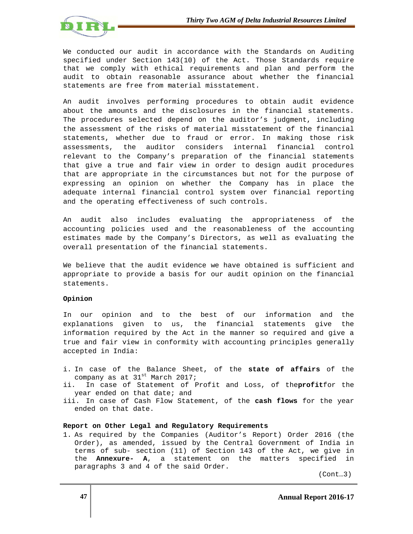

We conducted our audit in accordance with the Standards on Auditing specified under Section 143(10) of the Act. Those Standards require that we comply with ethical requirements and plan and perform the audit to obtain reasonable assurance about whether the financial statements are free from material misstatement.

An audit involves performing procedures to obtain audit evidence about the amounts and the disclosures in the financial statements. The procedures selected depend on the auditor's judgment, including the assessment of the risks of material misstatement of the financial statements, whether due to fraud or error. In making those risk assessments, the auditor considers internal financial control relevant to the Company's preparation of the financial statements that give a true and fair view in order to design audit procedures that are appropriate in the circumstances but not for the purpose of expressing an opinion on whether the Company has in place the adequate internal financial control system over financial reporting and the operating effectiveness of such controls.

An audit also includes evaluating the appropriateness of the accounting policies used and the reasonableness of the accounting estimates made by the Company's Directors, as well as evaluating the overall presentation of the financial statements.

We believe that the audit evidence we have obtained is sufficient and appropriate to provide a basis for our audit opinion on the financial statements.

## **Opinion**

In our opinion and to the best of our information and the explanations given to us, the financial statements give the information required by the Act in the manner so required and give a true and fair view in conformity with accounting principles generally accepted in India:

- i. In case of the Balance Sheet, of the **state of affairs** of the company as at 31st March 2017;
- ii. In case of Statement of Profit and Loss, of the**profit**for the year ended on that date; and
- iii. In case of Cash Flow Statement, of the **cash flows** for the year ended on that date.

## **Report on Other Legal and Regulatory Requirements**

1. As required by the Companies (Auditor's Report) Order 2016 (the Order), as amended, issued by the Central Government of India in terms of sub- section (11) of Section 143 of the Act, we give in the **Annexure- A**, a statement on the matters specified in paragraphs 3 and 4 of the said Order.

(Cont…3)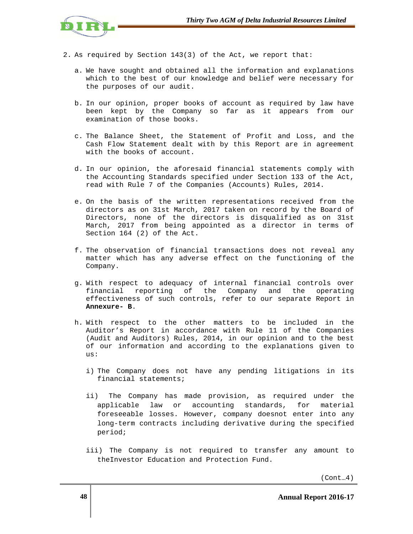

- 2. As required by Section 143(3) of the Act, we report that:
	- a. We have sought and obtained all the information and explanations which to the best of our knowledge and belief were necessary for the purposes of our audit.
	- b. In our opinion, proper books of account as required by law have been kept by the Company so far as it appears from our examination of those books.
	- c. The Balance Sheet, the Statement of Profit and Loss, and the Cash Flow Statement dealt with by this Report are in agreement with the books of account.
	- d. In our opinion, the aforesaid financial statements comply with the Accounting Standards specified under Section 133 of the Act, read with Rule 7 of the Companies (Accounts) Rules, 2014.
	- e. On the basis of the written representations received from the directors as on 31st March, 2017 taken on record by the Board of Directors, none of the directors is disqualified as on 31st March, 2017 from being appointed as a director in terms of Section 164 (2) of the Act.
	- f. The observation of financial transactions does not reveal any matter which has any adverse effect on the functioning of the Company.
	- g. With respect to adequacy of internal financial controls over financial reporting of the Company and the operating effectiveness of such controls, refer to our separate Report in **Annexure- B**.
	- h. With respect to the other matters to be included in the Auditor's Report in accordance with Rule 11 of the Companies (Audit and Auditors) Rules, 2014, in our opinion and to the best of our information and according to the explanations given to us:
		- i) The Company does not have any pending litigations in its financial statements;
		- ii) The Company has made provision, as required under the applicable law or accounting standards, for material foreseeable losses. However, company doesnot enter into any long-term contracts including derivative during the specified period;
		- iii) The Company is not required to transfer any amount to theInvestor Education and Protection Fund.

(Cont…4)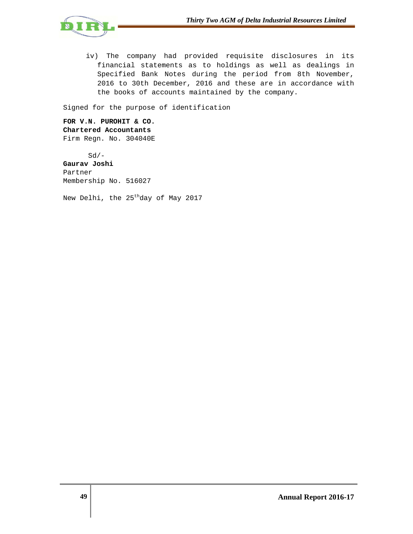

iv) The company had provided requisite disclosures in its financial statements as to holdings as well as dealings in Specified Bank Notes during the period from 8th November, 2016 to 30th December, 2016 and these are in accordance with the books of accounts maintained by the company.

Signed for the purpose of identification

**FOR V.N. PUROHIT & CO. Chartered Accountants**  Firm Regn. No. 304040E

 $Sd/-$ 

**Gaurav Joshi**  Partner Membership No. 516027

New Delhi, the 25<sup>th</sup>day of May 2017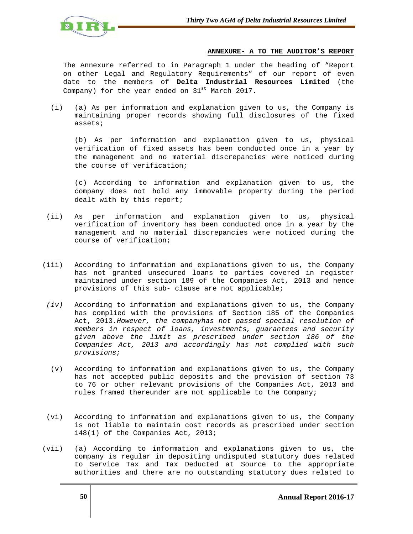

## **ANNEXURE- A TO THE AUDITOR'S REPORT**

The Annexure referred to in Paragraph 1 under the heading of "Report on other Legal and Regulatory Requirements" of our report of even date to the members of **Delta Industrial Resources Limited** (the Company) for the year ended on  $31^{st}$  March 2017.

(i) (a) As per information and explanation given to us, the Company is maintaining proper records showing full disclosures of the fixed assets;

(b) As per information and explanation given to us, physical verification of fixed assets has been conducted once in a year by the management and no material discrepancies were noticed during the course of verification;

(c) According to information and explanation given to us, the company does not hold any immovable property during the period dealt with by this report;

- (ii) As per information and explanation given to us, physical verification of inventory has been conducted once in a year by the management and no material discrepancies were noticed during the course of verification;
- (iii) According to information and explanations given to us, the Company has not granted unsecured loans to parties covered in register maintained under section 189 of the Companies Act, 2013 and hence provisions of this sub- clause are not applicable;
- (iv) According to information and explanations given to us, the Company has complied with the provisions of Section 185 of the Companies Act, 2013.However, the companyhas not passed special resolution of members in respect of loans, investments, guarantees and security given above the limit as prescribed under section 186 of the Companies Act, 2013 and accordingly has not complied with such provisions;
- (v) According to information and explanations given to us, the Company has not accepted public deposits and the provision of section 73 to 76 or other relevant provisions of the Companies Act, 2013 and rules framed thereunder are not applicable to the Company;
- (vi) According to information and explanations given to us, the Company is not liable to maintain cost records as prescribed under section 148(1) of the Companies Act, 2013;
- (vii) (a) According to information and explanations given to us, the company is regular in depositing undisputed statutory dues related to Service Tax and Tax Deducted at Source to the appropriate authorities and there are no outstanding statutory dues related to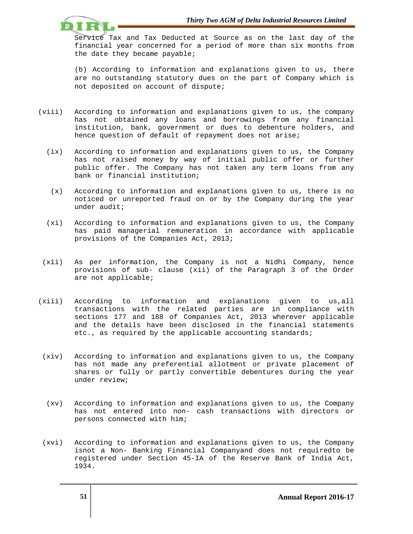

Service Tax and Tax Deducted at Source as on the last day of the financial year concerned for a period of more than six months from the date they became payable;

(b) According to information and explanations given to us, there are no outstanding statutory dues on the part of Company which is not deposited on account of dispute;

- (viii) According to information and explanations given to us, the company has not obtained any loans and borrowings from any financial institution, bank, government or dues to debenture holders, and hence question of default of repayment does not arise;
	- (ix) According to information and explanations given to us, the Company has not raised money by way of initial public offer or further public offer. The Company has not taken any term loans from any bank or financial institution;
	- (x) According to information and explanations given to us, there is no noticed or unreported fraud on or by the Company during the year under audit;
	- (xi) According to information and explanations given to us, the Company has paid managerial remuneration in accordance with applicable provisions of the Companies Act, 2013;
- (xii) As per information, the Company is not a Nidhi Company, hence provisions of sub- clause (xii) of the Paragraph 3 of the Order are not applicable;
- (xiii) According to information and explanations given to us,all transactions with the related parties are in compliance with sections 177 and 188 of Companies Act, 2013 wherever applicable and the details have been disclosed in the financial statements etc., as required by the applicable accounting standards;
- (xiv) According to information and explanations given to us, the Company has not made any preferential allotment or private placement of shares or fully or partly convertible debentures during the year under review;
- (xv) According to information and explanations given to us, the Company has not entered into non- cash transactions with directors or persons connected with him;
- (xvi) According to information and explanations given to us, the Company isnot a Non- Banking Financial Companyand does not requiredto be registered under Section 45-IA of the Reserve Bank of India Act, 1934.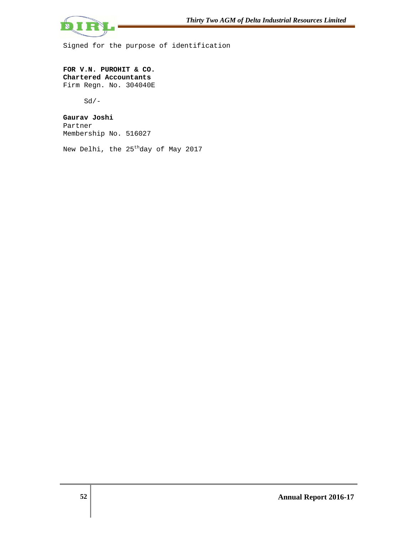

Signed for the purpose of identification

**FOR V.N. PUROHIT & CO. Chartered Accountants**  Firm Regn. No. 304040E

 $Sd/-$ 

**Gaurav Joshi**  Partner Membership No. 516027

New Delhi, the 25<sup>th</sup>day of May 2017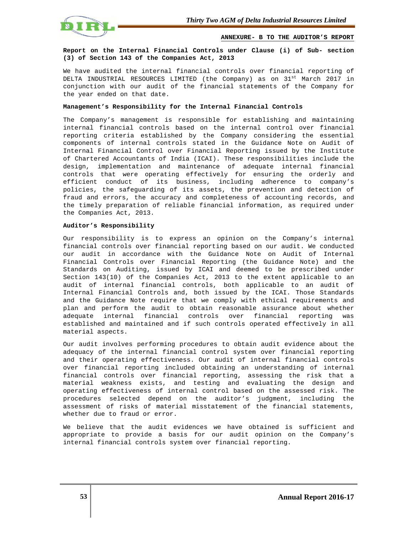

**ANNEXURE- B TO THE AUDITOR'S REPORT**

## **Report on the Internal Financial Controls under Clause (i) of Sub- section (3) of Section 143 of the Companies Act, 2013**

We have audited the internal financial controls over financial reporting of DELTA INDUSTRIAL RESOURCES LIMITED (the Company) as on 31<sup>st</sup> March 2017 in conjunction with our audit of the financial statements of the Company for the year ended on that date.

### **Management's Responsibility for the Internal Financial Controls**

The Company's management is responsible for establishing and maintaining internal financial controls based on the internal control over financial reporting criteria established by the Company considering the essential components of internal controls stated in the Guidance Note on Audit of Internal Financial Control over Financial Reporting issued by the Institute of Chartered Accountants of India (ICAI). These responsibilities include the design, implementation and maintenance of adequate internal financial controls that were operating effectively for ensuring the orderly and efficient conduct of its business, including adherence to company's policies, the safeguarding of its assets, the prevention and detection of fraud and errors, the accuracy and completeness of accounting records, and the timely preparation of reliable financial information, as required under the Companies Act, 2013.

#### **Auditor's Responsibility**

Our responsibility is to express an opinion on the Company's internal financial controls over financial reporting based on our audit. We conducted our audit in accordance with the Guidance Note on Audit of Internal Financial Controls over Financial Reporting (the Guidance Note) and the Standards on Auditing, issued by ICAI and deemed to be prescribed under Section 143(10) of the Companies Act, 2013 to the extent applicable to an audit of internal financial controls, both applicable to an audit of Internal Financial Controls and, both issued by the ICAI. Those Standards and the Guidance Note require that we comply with ethical requirements and plan and perform the audit to obtain reasonable assurance about whether adequate internal financial controls over financial reporting was established and maintained and if such controls operated effectively in all material aspects.

Our audit involves performing procedures to obtain audit evidence about the adequacy of the internal financial control system over financial reporting and their operating effectiveness. Our audit of internal financial controls over financial reporting included obtaining an understanding of internal financial controls over financial reporting, assessing the risk that a material weakness exists, and testing and evaluating the design and operating effectiveness of internal control based on the assessed risk. The procedures selected depend on the auditor's judgment, including the assessment of risks of material misstatement of the financial statements, whether due to fraud or error.

We believe that the audit evidences we have obtained is sufficient and appropriate to provide a basis for our audit opinion on the Company's internal financial controls system over financial reporting.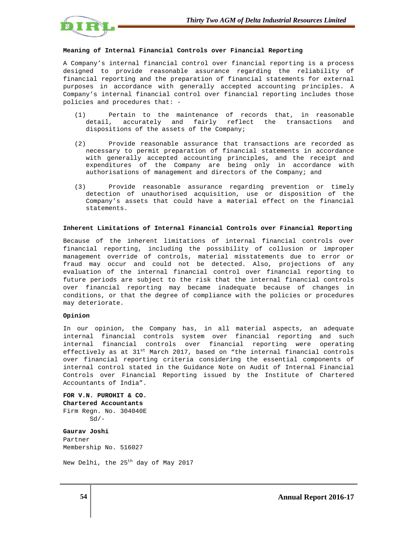

#### **Meaning of Internal Financial Controls over Financial Reporting**

A Company's internal financial control over financial reporting is a process designed to provide reasonable assurance regarding the reliability of financial reporting and the preparation of financial statements for external purposes in accordance with generally accepted accounting principles. A Company's internal financial control over financial reporting includes those policies and procedures that: -

- (1) Pertain to the maintenance of records that, in reasonable detail, accurately and fairly reflect the transactions and dispositions of the assets of the Company;
- (2) Provide reasonable assurance that transactions are recorded as necessary to permit preparation of financial statements in accordance with generally accepted accounting principles, and the receipt and expenditures of the Company are being only in accordance with authorisations of management and directors of the Company; and
- (3) Provide reasonable assurance regarding prevention or timely detection of unauthorised acquisition, use or disposition of the Company's assets that could have a material effect on the financial statements.

#### **Inherent Limitations of Internal Financial Controls over Financial Reporting**

Because of the inherent limitations of internal financial controls over financial reporting, including the possibility of collusion or improper management override of controls, material misstatements due to error or fraud may occur and could not be detected. Also, projections of any evaluation of the internal financial control over financial reporting to future periods are subject to the risk that the internal financial controls over financial reporting may became inadequate because of changes in conditions, or that the degree of compliance with the policies or procedures may deteriorate.

#### **Opinion**

In our opinion, the Company has, in all material aspects, an adequate internal financial controls system over financial reporting and such internal financial controls over financial reporting were operating effectively as at  $31^{st}$  March 2017, based on "the internal financial controls over financial reporting criteria considering the essential components of internal control stated in the Guidance Note on Audit of Internal Financial Controls over Financial Reporting issued by the Institute of Chartered Accountants of India".

**FOR V.N. PUROHIT & CO. Chartered Accountants**  Firm Regn. No. 304040E  $Sd/-$ 

**Gaurav Joshi**  Partner Membership No. 516027

New Delhi, the 25th day of May 2017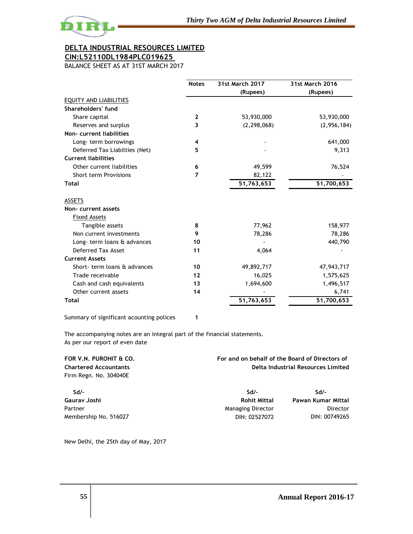

# **CIN:L52110DL1984PLC019625**

BALANCE SHEET AS AT 31ST MARCH 2017

|                               | <b>Notes</b>   | <b>31st March 2017</b> | 31st March 2016 |
|-------------------------------|----------------|------------------------|-----------------|
|                               |                | (Rupees)               | (Rupees)        |
| <b>EQUITY AND LIABILITIES</b> |                |                        |                 |
| Shareholders' fund            |                |                        |                 |
| Share capital                 | $\mathbf{2}$   | 53,930,000             | 53,930,000      |
| Reserves and surplus          | 3              | (2, 298, 068)          | (2,956,184)     |
| Non-current liabilities       |                |                        |                 |
| Long-term borrowings          | 4              |                        | 641,000         |
| Deferred Tax Liabilties (Net) | 5              |                        | 9,313           |
| <b>Current liabilities</b>    |                |                        |                 |
| Other current liabilities     | 6              | 49,599                 | 76,524          |
| <b>Short term Provisions</b>  | $\overline{7}$ | 82,122                 |                 |
| <b>Total</b>                  |                | 51,763,653             | 51,700,653      |
|                               |                |                        |                 |
| <b>ASSETS</b>                 |                |                        |                 |
| Non-current assets            |                |                        |                 |
| <b>Fixed Assets</b>           |                |                        |                 |
| Tangible assets               | 8              | 77,962                 | 158,977         |
| Non current investments       | 9              | 78,286                 | 78,286          |
| Long-term loans & advances    | 10             |                        | 440,790         |
| Deferred Tax Asset            | 11             | 4,064                  |                 |
| <b>Current Assets</b>         |                |                        |                 |
| Short- term loans & advances  | 10             | 49,892,717             | 47,943,717      |
| Trade receivable              | 12             | 16,025                 | 1,575,625       |
| Cash and cash equivalents     | 13             | 1,694,600              | 1,496,517       |
| Other current assets          | 14             |                        | 6,741           |
| <b>Total</b>                  |                | 51,763,653             | 51,700,653      |
|                               |                |                        |                 |

Summary of significant acounting polices **1**

The accompanying notes are an integral part of the financial statements. As per our report of even date

| FOR V.N. PUROHIT & CO.<br><b>Chartered Accountants</b> | For and on behalf of the Board of Directors of<br>Delta Industrial Resources Limited |                    |
|--------------------------------------------------------|--------------------------------------------------------------------------------------|--------------------|
| Firm Regn. No. 304040E                                 |                                                                                      |                    |
| Sd/-                                                   | Sd/-                                                                                 | Sd/-               |
| Gaurav Joshi                                           | <b>Rohit Mittal</b>                                                                  | Pawan Kumar Mittal |
| Partner                                                | <b>Managing Director</b>                                                             | <b>Director</b>    |
| Membership No. 516027                                  | DIN: 02527072                                                                        | DIN: 00749265      |

New Delhi, the 25th day of May, 2017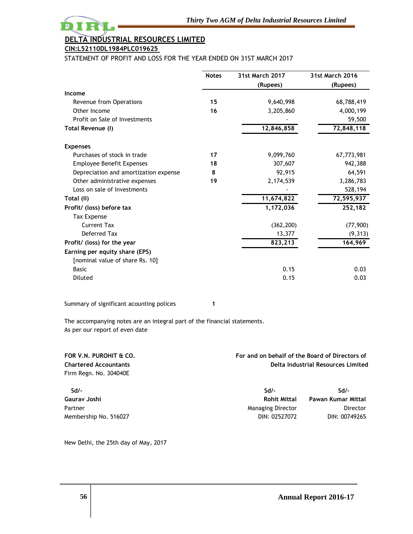

# **DELTA INDUSTRIAL RESOURCES LIMITED CIN:L52110DL1984PLC019625**

STATEMENT OF PROFIT AND LOSS FOR THE YEAR ENDED ON 31ST MARCH 2017

|                                       | <b>Notes</b> | <b>31st March 2017</b> | 31st March 2016 |
|---------------------------------------|--------------|------------------------|-----------------|
|                                       |              | (Rupees)               | (Rupees)        |
| Income                                |              |                        |                 |
| Revenue from Operations               | 15           | 9,640,998              | 68,788,419      |
| Other Income                          | 16           | 3,205,860              | 4,000,199       |
| Profit on Sale of Investments         |              |                        | 59,500          |
| Total Revenue (I)                     |              | 12,846,858             | 72,848,118      |
| <b>Expenses</b>                       |              |                        |                 |
| Purchases of stock in trade           | 17           | 9,099,760              | 67,773,981      |
| <b>Employee Benefit Expenses</b>      | 18           | 307,607                | 942,388         |
| Depreciation and amortization expense | 8            | 92,915                 | 64,591          |
| Other administrative expenses         | 19           | 2,174,539              | 3,286,783       |
| Loss on sale of Investments           |              |                        | 528,194         |
| Total (II)                            |              | 11,674,822             | 72,595,937      |
| Profit/ (loss) before tax             |              | 1,172,036              | 252,182         |
| <b>Tax Expense</b>                    |              |                        |                 |
| <b>Current Tax</b>                    |              | (362, 200)             | (77, 900)       |
| Deferred Tax                          |              | 13,377                 | (9, 313)        |
| Profit/ (loss) for the year           |              | 823,213                | 164,969         |
| Earning per equity share (EPS)        |              |                        |                 |
| [nominal value of share Rs. 10]       |              |                        |                 |
| <b>Basic</b>                          |              | 0.15                   | 0.03            |
| Diluted                               |              | 0.15                   | 0.03            |
|                                       |              |                        |                 |

Summary of significant acounting polices **1**

The accompanying notes are an integral part of the financial statements. As per our report of even date

| FOR V.N. PUROHIT & CO.       | For and on behalf of the Board of Directors of<br>Delta Industrial Resources Limited |                    |
|------------------------------|--------------------------------------------------------------------------------------|--------------------|
| <b>Chartered Accountants</b> |                                                                                      |                    |
| Firm Regn. No. 304040E       |                                                                                      |                    |
| $Sd$ /-                      | $Sd/-$                                                                               | $Sd/-$             |
| Gaurav Joshi                 | <b>Rohit Mittal</b>                                                                  | Pawan Kumar Mittal |
| Partner                      | <b>Managing Director</b>                                                             | Director           |
| Membership No. 516027        | DIN: 02527072                                                                        | DIN: 00749265      |

New Delhi, the 25th day of May, 2017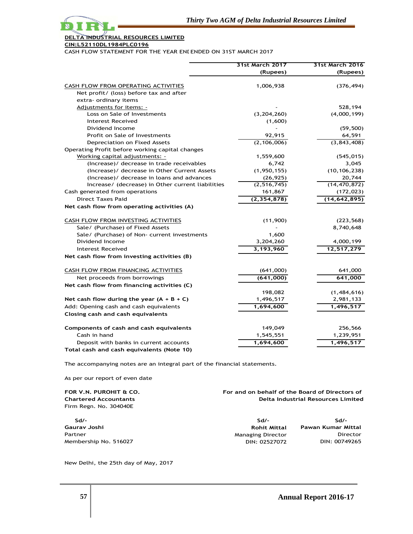

### **CIN:L52110DL1984PLC019625**

CASH FLOW STATEMENT FOR THE YEAR ENLENDED ON 31ST MARCH 2017

|                                                   | 31st March 2017 | 31st March 2016 |
|---------------------------------------------------|-----------------|-----------------|
|                                                   | (Rupees)        | (Rupees)        |
| CASH FLOW FROM OPERATING ACTIVITIES               | 1,006,938       | (376, 494)      |
| Net profit/ (loss) before tax and after           |                 |                 |
| extra- ordinary items                             |                 |                 |
| Adjustments for items: -                          |                 | 528,194         |
| Loss on Sale of Investments                       | (3,204,260)     | (4,000,199)     |
| Interest Received                                 | (1,600)         |                 |
| Dividend Income                                   |                 | (59, 500)       |
| Profit on Sale of Investments                     | 92,915          | 64,591          |
| Depreciation on Fixed Assets                      | (2, 106, 006)   | (3,843,408)     |
| Operating Profit before working capital changes   |                 |                 |
| Working capital adjustments: -                    | 1,559,600       | (545, 015)      |
| (Increase)/ decrease in trade receivables         | 6,742           | 3,045           |
| (Increase)/ decrease in Other Current Assets      | (1, 950, 155)   | (10, 106, 238)  |
| (Increase)/ decrease in loans and advances        | (26, 925)       | 20,744          |
| Increase/ (decrease) in Other current liabilities | (2, 516, 745)   | (14, 470, 872)  |
| Cash generated from operations                    | 161,867         | (172, 023)      |
| <b>Direct Taxes Paid</b>                          | (2, 354, 878)   | (14, 642, 895)  |
| Net cash flow from operating activities (A)       |                 |                 |
| CASH FLOW FROM INVESTING ACTIVITIES               | (11,900)        | (223, 568)      |
| Sale/ (Purchase) of Fixed Assets                  |                 | 8,740,648       |
| Sale/ (Purchase) of Non- current investments      | 1,600           |                 |
| Dividend Income                                   | 3,204,260       | 4,000,199       |
| <b>Interest Received</b>                          | 3,193,960       | 12,517,279      |
| Net cash flow from investing activities (B)       |                 |                 |
| CASH FLOW FROM FINANCING ACTIVITIES               | (641,000)       | 641,000         |
| Net proceeds from borrowings                      | (641,000)       | 641,000         |
| Net cash flow from financing activities (C)       |                 |                 |
|                                                   | 198,082         | (1,484,616)     |
| Net cash flow during the year $(A + B + C)$       | 1,496,517       | 2,981,133       |
| Add: Opening cash and cash equivalents            | 1,694,600       | 1,496,517       |
| Closing cash and cash equivalents                 |                 |                 |
| Components of cash and cash equivalents           | 149,049         | 256,566         |
| Cash in hand                                      | 1,545,551       | 1,239,951       |
| Deposit with banks in current accounts            | 1,694,600       | 1,496,517       |
| Total cash and cash equivalents (Note 10)         |                 |                 |

The accompanying notes are an integral part of the financial statements.

As per our report of even date

| FOR V.N. PUROHIT & CO.<br><b>Chartered Accountants</b><br>Firm Regn. No. 304040E | For and on behalf of the Board of Directors of | <b>Delta Industrial Resources Limited</b> |
|----------------------------------------------------------------------------------|------------------------------------------------|-------------------------------------------|
| Sd/-                                                                             | Sd/-                                           | $Sd/-$                                    |
| Gaurav Joshi                                                                     | <b>Rohit Mittal</b>                            | Pawan Kumar Mittal                        |
| Partner                                                                          | <b>Managing Director</b>                       | Director                                  |
| Membership No. 516027                                                            | DIN: 02527072                                  | DIN: 00749265                             |

New Delhi, the 25th day of May, 2017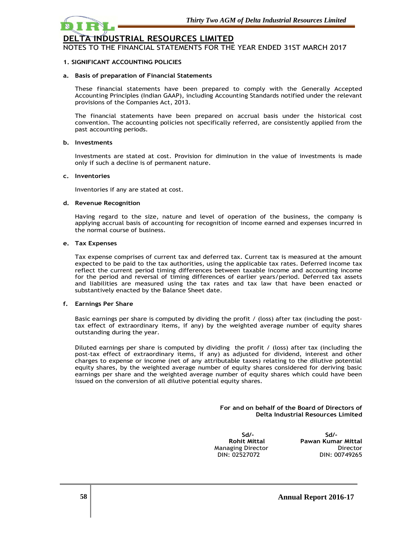

NOTES TO THE FINANCIAL STATEMENTS FOR THE YEAR ENDED 31ST MARCH 2017

# **1. SIGNIFICANT ACCOUNTING POLICIES**

### **a. Basis of preparation of Financial Statements**

These financial statements have been prepared to comply with the Generally Accepted Accounting Principles (Indian GAAP), including Accounting Standards notified under the relevant provisions of the Companies Act, 2013.

The financial statements have been prepared on accrual basis under the historical cost convention. The accounting policies not specifically referred, are consistently applied from the past accounting periods.

### **b. Investments**

Investments are stated at cost. Provision for diminution in the value of investments is made only if such a decline is of permanent nature.

### **c. Inventories**

Inventories if any are stated at cost.

### **d. Revenue Recognition**

Having regard to the size, nature and level of operation of the business, the company is applying accrual basis of accounting for recognition of income earned and expenses incurred in the normal course of business.

### **e. Tax Expenses**

Tax expense comprises of current tax and deferred tax. Current tax is measured at the amount expected to be paid to the tax authorities, using the applicable tax rates. Deferred income tax reflect the current period timing differences between taxable income and accounting income for the period and reversal of timing differences of earlier years/period. Deferred tax assets and liabilities are measured using the tax rates and tax law that have been enacted or substantively enacted by the Balance Sheet date.

## **f. Earnings Per Share**

Basic earnings per share is computed by dividing the profit / (loss) after tax (including the posttax effect of extraordinary items, if any) by the weighted average number of equity shares outstanding during the year.

Diluted earnings per share is computed by dividing the profit / (loss) after tax (including the post-tax effect of extraordinary items, if any) as adjusted for dividend, interest and other charges to expense or income (net of any attributable taxes) relating to the dilutive potential equity shares, by the weighted average number of equity shares considered for deriving basic earnings per share and the weighted average number of equity shares which could have been issued on the conversion of all dilutive potential equity shares.

> **For and on behalf of the Board of Directors of Delta Industrial Resources Limited**

 **Sd/- Sd/-**  DIN: 02527072

**Rohit Mittal Pawan Kumar Mittal** Managing Director **Director** Director<br>DIN: 02527072 DIN: 00749265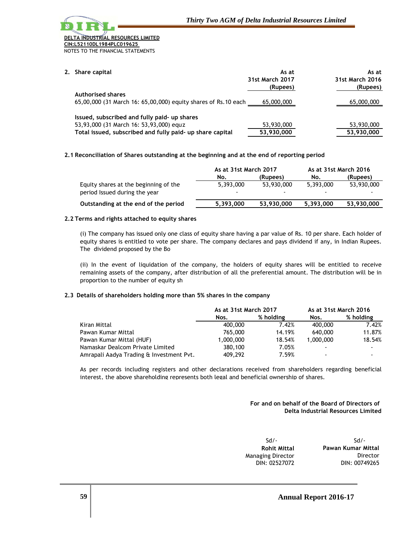# **DERIAL RESOURCES LIMITED CIN:L52110DL1984PLC019625**

NOTES TO THE FINANCIAL STATEMENTS

**2. Share capital As at As at (Rupees) (Rupees) Authorised shares** 65,00,000 (31 March 16: 65,00,000) equity shares of Rs.10 each 65,000,000 65,000,000 **Issued, subscribed and fully paid- up shares** 53,93,000 (31 March 16: 53,93,000) equity shares of the shares of  $53,930,000$  and  $53,930,000$   $53,930,000$ **Total issued, subscribed and fully paid- up share capital 53,930,000 53,930,000 31st March 2017 31st March 2016**

# **2.1 Reconciliation of Shares outstanding at the beginning and at the end of reporting period**

|                                                                        | As at 31st March 2017 |            | As at 31st March 2016 |            |
|------------------------------------------------------------------------|-----------------------|------------|-----------------------|------------|
|                                                                        | No.                   | (Rupees)   | No.                   | (Rupees)   |
| Equity shares at the beginning of the<br>period Issued during the year | 5.393.000             | 53,930,000 | 5.393.000             | 53,930,000 |
| Outstanding at the end of the period                                   | 5.393.000             | 53,930,000 | 5,393,000             | 53,930,000 |

# **2.2 Terms and rights attached to equity shares**

(i) The company has issued only one class of equity share having a par value of Rs. 10 per share. Each holder of equity shares is entitled to vote per share. The company declares and pays dividend if any, in Indian Rupees. The dividend proposed by the Bo

(ii) In the event of liquidation of the company, the holders of equity shares will be entitled to receive remaining assets of the company, after distribution of all the preferential amount. The distribution will be in proportion to the number of equity sh

# **2.3 Details of shareholders holding more than 5% shares in the company**

|                                          | As at 31st March 2017 |           | As at 31st March 2016 |           |
|------------------------------------------|-----------------------|-----------|-----------------------|-----------|
|                                          | Nos.                  | % holding | Nos.                  | % holding |
| Kiran Mittal                             | 400,000               | 7.42%     | 400,000               | 7.42%     |
| Pawan Kumar Mittal                       | 765,000               | 14.19%    | 640,000               | 11.87%    |
| Pawan Kumar Mittal (HUF)                 | 1,000,000             | 18.54%    | 1,000,000             | 18.54%    |
| Namaskar Dealcom Private Limited         | 380,100               | 7.05%     |                       |           |
| Amrapali Aadya Trading & Investment Pvt. | 409,292               | 7.59%     |                       |           |

As per records including registers and other declarations received from shareholders regarding beneficial interest, the above shareholding represents both legal and beneficial ownership of shares.

# **For and on behalf of the Board of Directors of Delta Industrial Resources Limited**

| $Sd$ /-             | $Sd$ /-            |
|---------------------|--------------------|
| <b>Rohit Mittal</b> | Pawan Kumar Mittal |
| Managing Director   | Director           |
| DIN: 02527072       | DIN: 00749265      |
|                     |                    |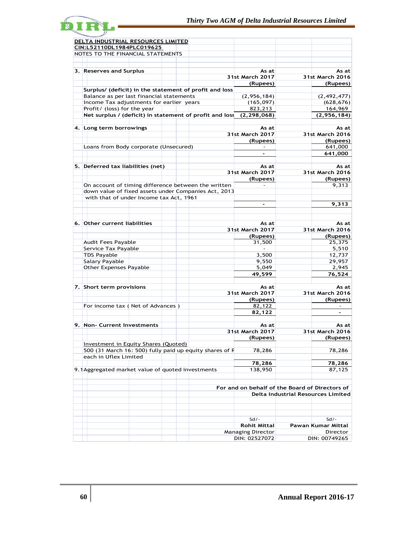

| <u>DELTA INDUSTRIAL RESOURCES LIMITED</u>               |                                                |                                    |
|---------------------------------------------------------|------------------------------------------------|------------------------------------|
| CIN:L52110DL1984PLC019625                               |                                                |                                    |
| NOTES TO THE FINANCIAL STATEMENTS                       |                                                |                                    |
|                                                         |                                                |                                    |
|                                                         |                                                |                                    |
| 3. Reserves and Surplus                                 | As at                                          | As at                              |
|                                                         | <b>31st March 2017</b>                         | <b>31st March 2016</b>             |
|                                                         | (Rupees)                                       | (Rupees)                           |
| Surplus/ (deficit) in the statement of profit and loss  |                                                |                                    |
| Balance as per last financial statements                | (2,956,184)                                    | (2, 492, 477)                      |
| Income Tax adjustments for earlier years                | (165, 097)                                     | (628, 676)                         |
| Profit/ (loss) for the year                             | 823,213                                        | 164,969                            |
| Net surplus / (deficit) in statement of profit and loss | (2, 298, 068)                                  | (2,956,184)                        |
|                                                         |                                                |                                    |
| 4. Long term borrowings                                 | As at                                          | As at                              |
|                                                         | 31st March 2017                                | 31st March 2016                    |
|                                                         | (Rupees)                                       | (Rupees)                           |
| Loans from Body corporate (Unsecured)                   |                                                | 641,000                            |
|                                                         | $\overline{\phantom{a}}$                       | 641,000                            |
|                                                         |                                                |                                    |
| 5. Deferred tax liabilities (net)                       | As at                                          | As at                              |
|                                                         | 31st March 2017                                | 31st March 2016                    |
|                                                         | (Rupees)                                       | (Rupees)                           |
| On account of timing difference between the written     |                                                | 9,313                              |
| down value of fixed assets under Companies Act, 2013    |                                                |                                    |
| with that of under Income tax Act, 1961                 |                                                |                                    |
|                                                         | $\sim$                                         | 9,313                              |
|                                                         |                                                |                                    |
|                                                         |                                                |                                    |
| 6. Other current liabilities                            |                                                |                                    |
|                                                         | As at                                          | As at<br>31st March 2016           |
|                                                         | 31st March 2017                                |                                    |
|                                                         | (Rupees)                                       | (Rupees)                           |
| Audit Fees Payable                                      | 31,500                                         | 25,375                             |
| Service Tax Payable                                     |                                                | 5,510                              |
| <b>TDS Payable</b>                                      | 3,500                                          | 12,737                             |
| Salary Payable                                          | 9,550                                          | 29,957                             |
| <b>Other Expenses Payable</b>                           | 5,049                                          | 2,945                              |
|                                                         | 49,599                                         | 76,524                             |
|                                                         |                                                |                                    |
| 7. Short term provisions                                | As at                                          | As at                              |
|                                                         | <b>31st March 2017</b>                         | 31st March 2016                    |
|                                                         | (Rupees)                                       | (Rupees)                           |
| For income tax ( Net of Advances )                      | 82,122                                         |                                    |
|                                                         | 82,122                                         |                                    |
|                                                         |                                                |                                    |
| 9. Non- Current Investments                             | As at                                          | As at                              |
|                                                         | <b>31st March 2017</b>                         | <b>31st March 2016</b>             |
|                                                         | (Rupees)                                       | (Rupees)                           |
| <b>Investment in Equity Shares (Quoted)</b>             |                                                |                                    |
| 500 (31 March 16: 500) fully paid up equity shares of F | 78,286                                         | 78,286                             |
| each in Uflex Limited                                   |                                                |                                    |
|                                                         | 78,286                                         | 78,286                             |
| 9.1 Aggregated market value of quoted investments       | 138,950                                        | 87,125                             |
|                                                         |                                                |                                    |
|                                                         |                                                |                                    |
|                                                         | For and on behalf of the Board of Directors of |                                    |
|                                                         |                                                | Delta Industrial Resources Limited |
|                                                         |                                                |                                    |
|                                                         |                                                |                                    |
|                                                         |                                                |                                    |
|                                                         | $Sd/-$                                         | $Sd/-$                             |
|                                                         | <b>Rohit Mittal</b>                            | Pawan Kumar Mittal                 |
|                                                         | <b>Managing Director</b>                       | Director                           |
|                                                         | DIN: 02527072                                  | DIN: 00749265                      |
|                                                         |                                                |                                    |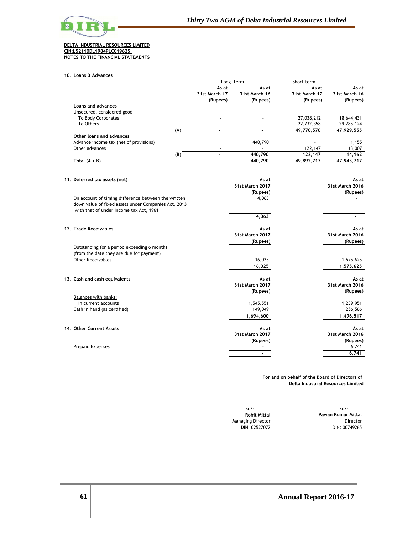

#### **DELTA INDUSTRIAL RESOURCES LIMITED CIN:L52110DL1984PLC019625 NOTES TO THE FINANCIAL STATEMENTS**

**10. Loans & Advances**

|                                        |     | Long-term                          |                                    | Short-term                         |                                    |
|----------------------------------------|-----|------------------------------------|------------------------------------|------------------------------------|------------------------------------|
|                                        |     | As at<br>31st March 17<br>(Rupees) | As at<br>31st March 16<br>(Rupees) | As at<br>31st March 17<br>(Rupees) | As at<br>31st March 16<br>(Rupees) |
| Loans and advances                     |     |                                    |                                    |                                    |                                    |
| Unsecured, considered good             |     |                                    |                                    |                                    |                                    |
| To Body Corporates                     |     |                                    |                                    | 27,038,212                         | 18,644,431                         |
| To Others                              |     |                                    |                                    | 22,732,358                         | 29,285,124                         |
|                                        | (A) |                                    |                                    | 49,770,570                         | 47,929,555                         |
| Other loans and advances               |     |                                    |                                    |                                    |                                    |
| Advance income tax (net of provisions) |     |                                    | 440,790                            |                                    | 1,155                              |
| Other advances                         |     |                                    |                                    | 122,147                            | 13,007                             |
|                                        | (B) |                                    | 440.790                            | 122.147                            | 14,162                             |
| Total $(A + B)$                        |     |                                    | 440,790                            | 49,892,717                         | 47,943,717                         |

| 11. Deferred tax assets (net)                        | As at                  | As at           |
|------------------------------------------------------|------------------------|-----------------|
|                                                      | 31st March 2017        | 31st March 2016 |
|                                                      | (Rupees)               | (Rupees)        |
| On account of timing difference between the written  | 4,063                  |                 |
| down value of fixed assets under Companies Act, 2013 |                        |                 |
| with that of under Income tax Act, 1961              |                        |                 |
|                                                      | 4,063                  |                 |
| 12. Trade Receivables                                | As at                  | As at           |
|                                                      | 31st March 2017        | 31st March 2016 |
|                                                      | (Rupees)               | (Rupees)        |
| Outstanding for a period exceeding 6 months          |                        |                 |
| (from the date they are due for payment)             |                        |                 |
| Other Receivables                                    | 16,025                 | 1,575,625       |
|                                                      | 16,025                 | 1,575,625       |
|                                                      |                        |                 |
| 13. Cash and cash equivalents                        | As at                  | As at           |
|                                                      | <b>31st March 2017</b> | 31st March 2016 |
|                                                      | (Rupees)               | (Rupees)        |
| Balances with banks:                                 |                        |                 |
| In current accounts                                  | 1,545,551              | 1,239,951       |
| Cash in hand (as certified)                          | 149,049                | 256,566         |
|                                                      | 1,694,600              | 1,496,517       |
| 14. Other Current Assets                             | As at                  | As at           |
|                                                      | 31st March 2017        | 31st March 2016 |
|                                                      | (Rupees)               | (Rupees)        |
| <b>Prepaid Expenses</b>                              |                        | 6,741           |
|                                                      |                        | 6,741           |
|                                                      |                        |                 |

**For and on behalf of the Board of Directors of Delta Industrial Resources Limited**

| $Sd$ .             | $Sd$ .                   |
|--------------------|--------------------------|
| Pawan Kumar Mittal | <b>Rohit Mittal</b>      |
| Director           | <b>Managing Director</b> |
| DIN: 00749265      | DIN: 02527072            |

 $Sd/-$ **Rohit Mittal Pawan Kumar Mittal** DIN: 00749265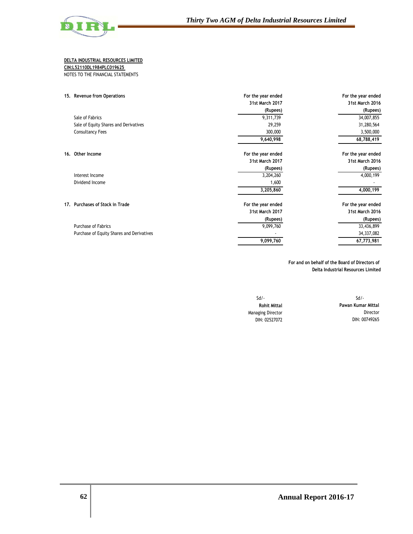

**CIN:L52110DL1984PLC019625** 

NOTES TO THE FINANCIAL STATEMENTS

| For the year ended | For the year ended |
|--------------------|--------------------|
| 31st March 2017    | 31st March 2016    |
| (Rupees)           | (Rupees)           |
| 9,311,739          | 34,007,855         |
| 29,259             | 31,280,564         |
| 300,000            | 3,500,000          |
| 9,640,998          | 68,788,419         |
| For the year ended | For the year ended |
| 31st March 2017    | 31st March 2016    |
| (Rupees)           | (Rupees)           |
| 3,204,260          | 4,000,199          |
| 1,600              |                    |
| 3,205,860          | 4,000,199          |
| For the year ended | For the year ended |
| 31st March 2017    | 31st March 2016    |
| (Rupees)           | (Rupees)           |
| 9,099,760          | 33,436,899         |
|                    | 34,337,082         |
| 9,099,760          | 67,773,981         |
|                    |                    |

**For and on behalf of the Board of Directors of Delta Industrial Resources Limited**

Sd/- Sd/-

**Rohit Mittal Pawan Kumar Mittal** Managing Director **Director** Director DIN: 02527072 DIN: 00749265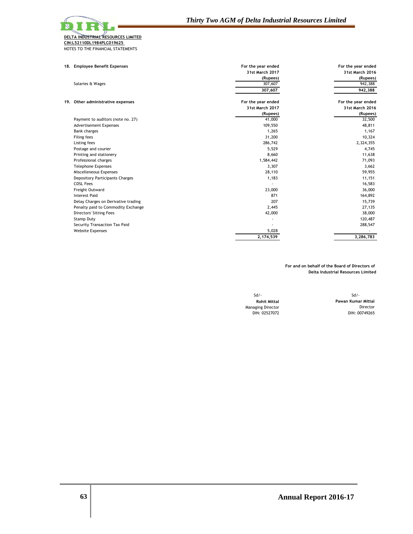| 18. Employee Benefit Expenses       | For the year ended     | For the year ended |
|-------------------------------------|------------------------|--------------------|
|                                     | <b>31st March 2017</b> | 31st March 2016    |
|                                     | (Rupees)               | (Rupees)           |
| Salaries & Wages                    | 307,607                | 942,388            |
|                                     | 307,607                | 942,388            |
| 19. Other administrative expenses   | For the year ended     | For the year ended |
|                                     | 31st March 2017        | 31st March 2016    |
|                                     | (Rupees)               | (Rupees)           |
| Payment to auditors (note no. 27)   | 41,000                 | 32,500             |
| <b>Advertisement Expenses</b>       | 109,550                | 48,811             |
| <b>Bank charges</b>                 | 1,265                  | 1,167              |
| <b>Filing fees</b>                  | 31,200                 | 10,324             |
| Listing fees                        | 286,742                | 2,324,355          |
| Postage and courier                 | 5,529                  | 4,745              |
| Printing and stationery             | 8,660                  | 11,638             |
| Professional charges                | 1,584,442              | 71,093             |
| <b>Telephone Expenses</b>           | 3,307                  | 3,662              |
| Miscelleneous Expenses              | 28,110                 | 59,955             |
| Depository Participants Charges     | 1,183                  | 11,151             |
| <b>CDSL Fees</b>                    |                        | 16,583             |
| Freight Outward                     | 23,000                 | 36,000             |
| <b>Interest Paid</b>                | 871                    | 164,892            |
| Delay Charges on Derivative trading | 207                    | 15,739             |
| Penalty paid to Commodity Exchange  | 2,445                  | 27,135             |
| <b>Directors' Sitting Fees</b>      | 42,000                 | 38,000             |
| Stamp Duty                          |                        | 120,487            |
| Security Transaction Tax Paid       |                        | 288,547            |
| <b>Website Expenses</b>             | 5,028                  |                    |
|                                     | 2,174,539              | 3,286,783          |

**For and on behalf of the Board of Directors of Delta Industrial Resources Limited**

Sd/- Sd/- Managing Director<br>DIN: 02527072

**Rohit Mittal Pawan Kumar Mittal** DIN: 00749265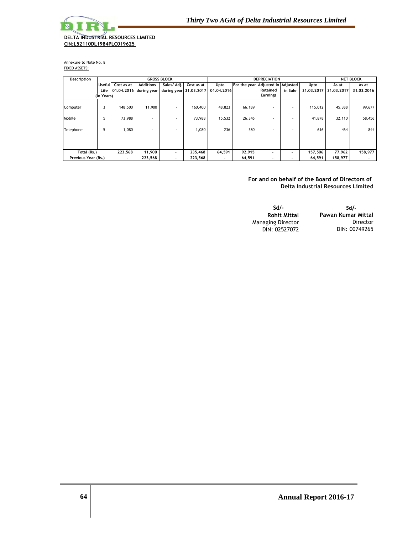

Annexure to Note No. 8 FIXED ASSETS:

| Description         |               |            |                        | <b>GROSS BLOCK</b>       | <b>DEPRECIATION</b>    |            |                                   |                          |         | <b>NET BLOCK</b> |            |            |
|---------------------|---------------|------------|------------------------|--------------------------|------------------------|------------|-----------------------------------|--------------------------|---------|------------------|------------|------------|
|                     | <b>Useful</b> | Cost as at | <b>Additions</b>       | Sales/ Adj.              | Cost as at             | Upto       | For the year Adjusted in Adjusted |                          |         | Upto             | As at      | As at      |
|                     | Life          |            | 01.04.2016 during year |                          | during year 31,03,2017 | 01.04.2016 |                                   | Retained                 | in Sale | 31.03.2017       | 31.03.2017 | 31.03.2016 |
|                     | (in Years)    |            |                        |                          |                        |            |                                   | <b>Earnings</b>          |         |                  |            |            |
| Computer            | 3             | 148,500    | 11,900                 | $\sim$                   | 160,400                | 48,823     | 66,189                            | $\overline{\phantom{a}}$ |         | 115,012          | 45,388     | 99,677     |
| Mobile              | 5             | 73,988     | ۰                      |                          | 73,988                 | 15,532     | 26,346                            |                          |         | 41,878           | 32,110     | 58,456     |
| Telephone           | 5             | 1,080      | ۰.                     | $\overline{\phantom{a}}$ | 1,080                  | 236        | 380                               | $\overline{\phantom{a}}$ |         | 616              | 464        | 844        |
| Total (Rs.)         |               | 223,568    | 11,900                 |                          | 235,468                | 64,591     | 92,915                            | $\overline{\phantom{a}}$ |         | 157,506          | 77,962     | 158,977    |
| Previous Year (Rs.) |               |            | 223,568                | $\overline{\phantom{a}}$ | 223,568                |            | 64,591                            | $\overline{\phantom{a}}$ |         | 64,591           | 158,977    |            |

**For and on behalf of the Board of Directors of Delta Industrial Resources Limited**

| Sd/-                     | Sd/-               |
|--------------------------|--------------------|
| <b>Rohit Mittal</b>      | Pawan Kumar Mittal |
| <b>Managing Director</b> | Director           |
| DIN: 02527072            | DIN: 00749265      |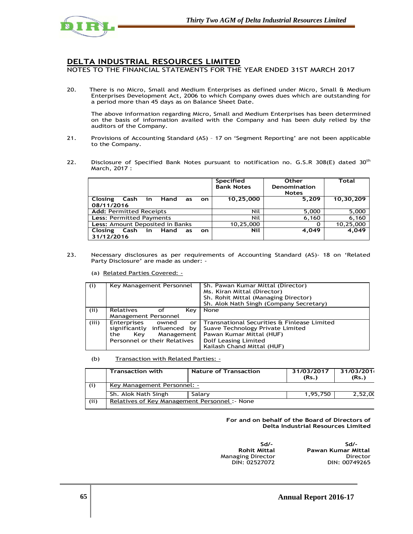

NOTES TO THE FINANCIAL STATEMENTS FOR THE YEAR ENDED 31ST MARCH 2017

 There is no Micro, Small and Medium Enterprises as defined under Micro, Small & Medium Enterprises Development Act, 2006 to which Company owes dues which are outstanding for a period more than 45 days as on Balance Sheet Date.

 The above information regarding Micro, Small and Medium Enterprises has been determined on the basis of information availed with the Company and has been duly relied by the auditors of the Company.

- 21. Provisions of Accounting Standard (AS) 17 on 'Segment Reporting' are not been applicable to the Company.
- 22. Disclosure of Specified Bank Notes pursuant to notification no. G.S.R 308(E) dated 30<sup>th</sup> March, 2017 :

|                                                          | <b>Specified</b><br><b>Bank Notes</b> | <b>Other</b><br>Denomination<br><b>Notes</b> | Total     |
|----------------------------------------------------------|---------------------------------------|----------------------------------------------|-----------|
| Closing Cash in Hand as<br>on.                           | 10,25,000                             | 5,209                                        | 10,30,209 |
| 08/11/2016                                               |                                       |                                              |           |
| <b>Add: Permitted Receipts</b>                           | Nil                                   | 5,000                                        | 5,000     |
| <b>Less: Permitted Payments</b>                          | Nil                                   | 6,160                                        | 6,160     |
| Less: Amount Deposited in Banks                          | 10,25,000                             | O                                            | 10,25,000 |
| Closing Cash in<br>Hand<br>as<br><b>on</b><br>31/12/2016 | <b>Nil</b>                            | 4,049                                        | 4,049     |

23. Necessary disclosures as per requirements of Accounting Standard (AS)- 18 on 'Related Party Disclosure' are made as under: -

(a) Related Parties Covered: -

| (i)   | Key Management Personnel                                                                                              | Sh. Pawan Kumar Mittal (Director)<br>Ms. Kiran Mittal (Director)<br>Sh. Rohit Mittal (Managing Director)<br>Sh. Alok Nath Singh (Company Secretary)               |
|-------|-----------------------------------------------------------------------------------------------------------------------|-------------------------------------------------------------------------------------------------------------------------------------------------------------------|
| (iii) | <b>Relatives</b><br>Kev<br>оf<br>Management Personnel                                                                 | None                                                                                                                                                              |
| (iii) | Enterprises<br>owned<br>or<br>significantly influenced by<br>Management<br>Kev<br>the<br>Personnel or their Relatives | Transnational Securities & Finlease Limited<br>Suave Technology Private Limited<br>Pawan Kumar Mittal (HUF)<br>Dolf Leasing Limited<br>Kailash Chand Mittal (HUF) |

#### (b) Transaction with Related Parties: -

|       | Transaction with                               | Nature of Transaction | 31/03/2017<br>(Rs.) | 31/03/201<br>(Rs.) |  |  |  |
|-------|------------------------------------------------|-----------------------|---------------------|--------------------|--|--|--|
|       | Key Management Personnel: -                    |                       |                     |                    |  |  |  |
|       | Sh. Alok Nath Singh                            | Salary                | 1.95.750            | 2,52,00            |  |  |  |
| (iii) | Relatives of Key Management Personnel : - None |                       |                     |                    |  |  |  |

**For and on behalf of the Board of Directors of Delta Industrial Resources Limited** 

ا العالمية التي تحت التي تحت العالمية التي تحت التي تحت العالمية التي تحت التي تحت التي تحت التي تحت التي تحت ا<br>التي تحت التي تحت التي تحت التي تحت التي تحت التي تحت التي تحت التي تحت التي تحت التي تحت التي تحت التي تحت DIN: 02527072

 **Rohit Mittal Pawan Kumar Mittal**  Managing Director Director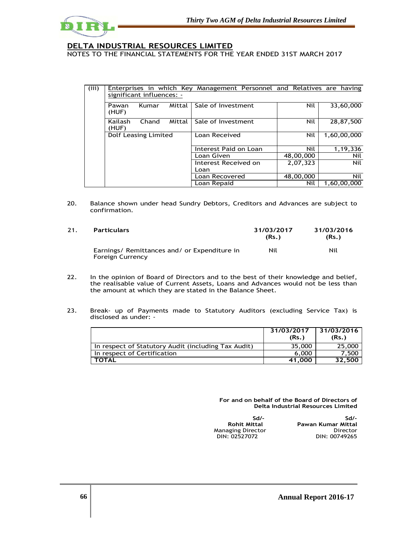

NOTES TO THE FINANCIAL STATEMENTS FOR THE YEAR ENDED 31ST MARCH 2017

| (iii) | Enterprises in which Key Management Personnel and Relatives are having |       |        |                       |           |             |  |  |  |  |
|-------|------------------------------------------------------------------------|-------|--------|-----------------------|-----------|-------------|--|--|--|--|
|       | significant influences: -                                              |       |        |                       |           |             |  |  |  |  |
|       | Pawan<br>(HUF)                                                         | Kumar | Mittal | Sale of Investment    | Nil       | 33,60,000   |  |  |  |  |
|       | Kailash<br>(HUF)                                                       | Chand | Mittal | Sale of Investment    | Nil       | 28,87,500   |  |  |  |  |
|       | Dolf Leasing Limited                                                   |       |        | Loan Received         | Nil       | 1,60,00,000 |  |  |  |  |
|       |                                                                        |       |        | Interest Paid on Loan | Nil       | 1,19,336    |  |  |  |  |
|       |                                                                        |       |        | Loan Given            | 48,00,000 | Nil         |  |  |  |  |
|       |                                                                        |       |        | Interest Received on  | 2,07,323  | Nil         |  |  |  |  |
|       |                                                                        |       |        | Loan                  |           |             |  |  |  |  |
|       |                                                                        |       |        | Loan Recovered        | 48,00,000 | Nil         |  |  |  |  |
|       |                                                                        |       |        | Loan Repaid           | Nil       | 1.60.00.000 |  |  |  |  |

20. Balance shown under head Sundry Debtors, Creditors and Advances are subject to confirmation.

21. **Particulars 31/03/2017 (Rs.) 31/03/2016 (Rs.)**  Earnings/ Remittances and/ or Expenditure in Foreign Currency Nil Nil

- 22. In the opinion of Board of Directors and to the best of their knowledge and belief, the realisable value of Current Assets, Loans and Advances would not be less than the amount at which they are stated in the Balance Sheet.
- 23. Break- up of Payments made to Statutory Auditors (excluding Service Tax) is disclosed as under: -

|                                                     | 31/03/2017<br>(Rs.) | 31/03/2016<br>(Rs.) |
|-----------------------------------------------------|---------------------|---------------------|
| In respect of Statutory Audit (including Tax Audit) | 35,000              | 25,000              |
| In respect of Certification                         | 6.000               | 7.500               |
| <b>TOTAL</b>                                        | 41.000              | 32.500              |

 **For and on behalf of the Board of Directors of Delta Industrial Resources Limited** 

| Sd/-                | Sd/-               |
|---------------------|--------------------|
| <b>Rohit Mittal</b> | Pawan Kumar Mittal |
| Managing Director   | Director           |
| DIN: 02527072       | DIN: 00749265      |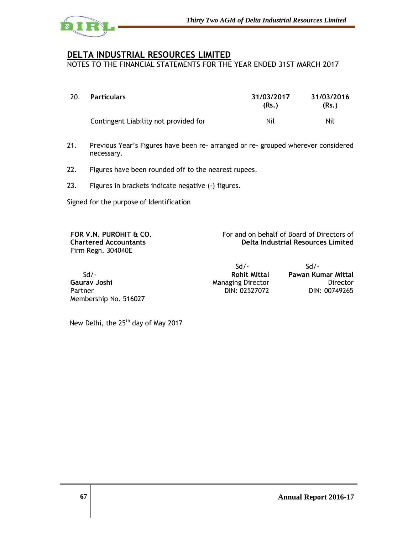

NOTES TO THE FINANCIAL STATEMENTS FOR THE YEAR ENDED 31ST MARCH 2017

| 20. | <b>Particulars</b>                    | 31/03/2017<br>(Rs.) | 31/03/2016<br>(Rs.) |
|-----|---------------------------------------|---------------------|---------------------|
|     | Contingent Liability not provided for | Nil                 | Nil                 |

- 21. Previous Year's Figures have been re- arranged or re- grouped wherever considered necessary.
- 22. Figures have been rounded off to the nearest rupees.
- 23. Figures in brackets indicate negative (-) figures.

Signed for the purpose of Identification

**FOR V.N. PUROHIT & CO. Chartered Accountants**  Firm Regn. 304040E

For and on behalf of Board of Directors of **Delta Industrial Resources Limited**

|                       | $S$ d / -                | -/h2               |
|-----------------------|--------------------------|--------------------|
| $Sd$ .                | <b>Rohit Mittal</b>      | Pawan Kumar Mittal |
| Gauray Joshi          | <b>Managing Director</b> | Director           |
| Partner               | DIN: 02527072            | DIN: 00749265      |
| Membership No. 516027 |                          |                    |

New Delhi, the 25<sup>th</sup> day of May 2017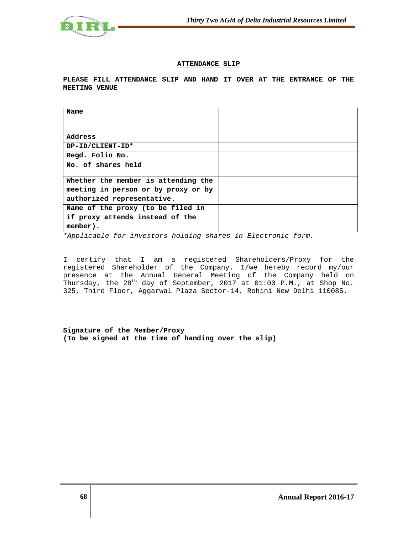

# **ATTENDANCE SLIP**

**PLEASE FILL ATTENDANCE SLIP AND HAND IT OVER AT THE ENTRANCE OF THE MEETING VENUE** 

| Name                                |  |
|-------------------------------------|--|
|                                     |  |
| Address                             |  |
| DP-ID/CLIENT-ID*                    |  |
| Regd. Folio No.                     |  |
| No. of shares held                  |  |
|                                     |  |
| Whether the member is attending the |  |
| meeting in person or by proxy or by |  |
| authorized representative.          |  |
| Name of the proxy (to be filed in   |  |
| if proxy attends instead of the     |  |
| member).                            |  |

\*Applicable for investors holding shares in Electronic form.

I certify that I am a registered Shareholders/Proxy for the registered Shareholder of the Company. I/we hereby record my/our presence at the Annual General Meeting of the Company held on Thursday, the 28<sup>th</sup> day of September, 2017 at 01:00 P.M., at Shop No. 325, Third Floor, Aggarwal Plaza Sector-14, Rohini New Delhi 110085.

**Signature of the Member/Proxy (To be signed at the time of handing over the slip)**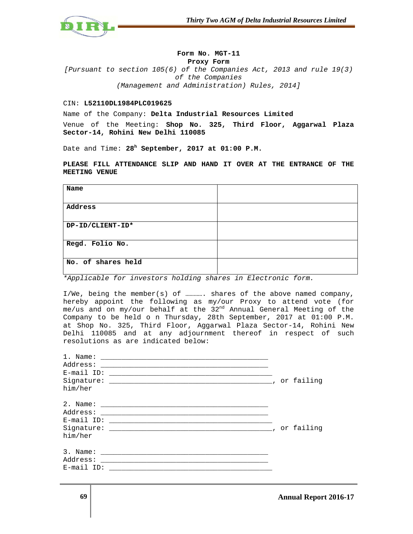

### **Form No. MGT-11**

**Proxy Form** 

[Pursuant to section 105(6) of the Companies Act, 2013 and rule 19(3) of the Companies (Management and Administration) Rules, 2014]

### CIN: **L52110DL1984PLC019625**

Name of the Company: **Delta Industrial Resources Limited**

Venue of the Meeting: **Shop No. 325, Third Floor, Aggarwal Plaza Sector-14, Rohini New Delhi 110085** 

Date and Time: **28<sup>h</sup> September, 2017 at 01:00 P.M.** 

**PLEASE FILL ATTENDANCE SLIP AND HAND IT OVER AT THE ENTRANCE OF THE MEETING VENUE** 

| Name               |  |
|--------------------|--|
|                    |  |
| Address            |  |
|                    |  |
| DP-ID/CLIENT-ID*   |  |
|                    |  |
| Regd. Folio No.    |  |
|                    |  |
| No. of shares held |  |
|                    |  |

\*Applicable for investors holding shares in Electronic form.

I/We, being the member(s) of …………. shares of the above named company, hereby appoint the following as my/our Proxy to attend vote (for me/us and on my/our behalf at the 32nd Annual General Meeting of the Company to be held o n Thursday, 28th September, 2017 at 01:00 P.M. at Shop No. 325, Third Floor, Aggarwal Plaza Sector-14, Rohini New Delhi 110085 and at any adjournment thereof in respect of such resolutions as are indicated below:

| 1. Name:      |  |
|---------------|--|
| Address:      |  |
| $E$ -mail ID: |  |
|               |  |
| him/her       |  |
|               |  |
| Address:      |  |
| $E$ -mail ID: |  |
|               |  |
| him/her       |  |
| 3. Name:      |  |
| Address:      |  |
| $E$ -mail ID: |  |
|               |  |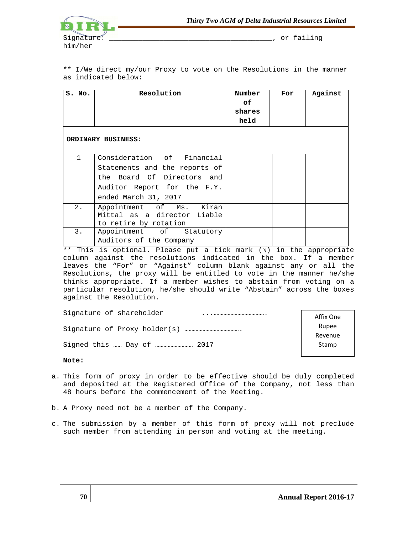

\*\* I/We direct my/our Proxy to vote on the Resolutions in the manner as indicated below:

| S. No.             | Resolution                                                                                                                                       | Number<br>оf<br>shares<br>held | For | Against |
|--------------------|--------------------------------------------------------------------------------------------------------------------------------------------------|--------------------------------|-----|---------|
| ORDINARY BUSINESS: |                                                                                                                                                  |                                |     |         |
| 1                  | Consideration of Financial<br>Statements and the reports of<br>the Board Of Directors and<br>Auditor Report for the F.Y.<br>ended March 31, 2017 |                                |     |         |
| $2$ .              | Appointment of Ms. Kiran<br>Mittal as a director Liable<br>to retire by rotation                                                                 |                                |     |         |
| 3.                 | Appointment of Statutory<br>Auditors of the Company                                                                                              |                                |     |         |

\*\* This is optional. Please put a tick mark (√) in the appropriate column against the resolutions indicated in the box. If a member leaves the "For" or "Against" column blank against any or all the Resolutions, the proxy will be entitled to vote in the manner he/she thinks appropriate. If a member wishes to abstain from voting on a particular resolution, he/she should write "Abstain" across the boxes against the Resolution.

| Signature of shareholder | Affix One        |
|--------------------------|------------------|
|                          | Rupee<br>Revenue |
|                          | Stamp            |

**Note:** 

- a. This form of proxy in order to be effective should be duly completed and deposited at the Registered Office of the Company, not less than 48 hours before the commencement of the Meeting.
- b. A Proxy need not be a member of the Company.
- c. The submission by a member of this form of proxy will not preclude such member from attending in person and voting at the meeting.